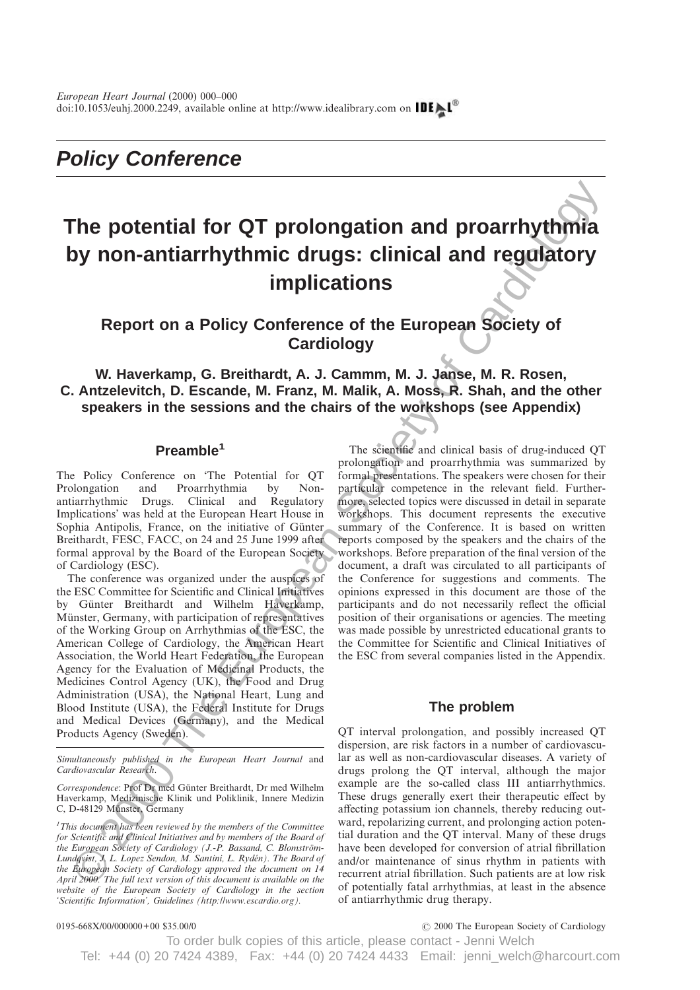# *Policy Conference*

# **The potential for QT prolongation and proarrhythmia by non-antiarrhythmic drugs: clinical and regulatory implications**

**Report on a Policy Conference of the European Society of Cardiology**

**W. Haverkamp, G. Breithardt, A. J. Cammm, M. J. Janse, M. R. Rosen, C. Antzelevitch, D. Escande, M. Franz, M. Malik, A. Moss, R. Shah, and the other speakers in the sessions and the chairs of the workshops (see Appendix)**

### **Preamble<sup>1</sup>**

The Policy Conference on 'The Potential for QT Prolongation and Proarrhythmia by Nonantiarrhythmic Drugs. Clinical and Regulatory Implications' was held at the European Heart House in Sophia Antipolis, France, on the initiative of Günter Breithardt, FESC, FACC, on 24 and 25 June 1999 after formal approval by the Board of the European Society of Cardiology (ESC).

The conference was organized under the auspices of the ESC Committee for Scientific and Clinical Initiatives by Günter Breithardt and Wilhelm Haverkamp, Münster, Germany, with participation of representatives of the Working Group on Arrhythmias of the ESC, the American College of Cardiology, the American Heart Association, the World Heart Federation, the European Agency for the Evaluation of Medicinal Products, the Medicines Control Agency (UK), the Food and Drug Administration (USA), the National Heart, Lung and Blood Institute (USA), the Federal Institute for Drugs and Medical Devices (Germany), and the Medical Products Agency (Sweden).

*Simultaneously published in the European Heart Journal* and *Cardiovascular Research*.

Correspondence: Prof Dr med Günter Breithardt, Dr med Wilhelm Haverkamp, Medizinische Klinik und Poliklinik, Innere Medizin C, D-48129 Münster, Germany

*1 This document has been reviewed by the members of the Committee for Scientific and Clinical Initiatives and by members of the Board of the European Society of Cardiology (J.-P. Bassand, C. Blomström-Lundqvist, J. L. Lopez Sendon, M. Santini, L. Ryde´n). The Board of the European Society of Cardiology approved the document on 14 April 2000. The full text version of this document is available on the website of the European Society of Cardiology in the section 'Scientific Information', Guidelines (http://www.escardio.org).*

**The potential for QT prolongation and proarrhythmic sympator implications**<br> **Contribution Society of Cardiology (Secure 2001) Contribution Contribution Cardiology Cardiology Cardiology**<br> **Cardiology Cardiolog** prolongation and proarrhythmia was summarized by formal presentations. The speakers were chosen for their particular competence in the relevant field. Furthermore, selected topics were discussed in detail in separate workshops. This document represents the executive summary of the Conference. It is based on written reports composed by the speakers and the chairs of the workshops. Before preparation of the final version of the document, a draft was circulated to all participants of the Conference for suggestions and comments. The opinions expressed in this document are those of the participants and do not necessarily reflect the official position of their organisations or agencies. The meeting was made possible by unrestricted educational grants to the Committee for Scientific and Clinical Initiatives of the ESC from several companies listed in the Appendix.

The scientific and clinical basis of drug-induced QT

### **The problem**

QT interval prolongation, and possibly increased QT dispersion, are risk factors in a number of cardiovascular as well as non-cardiovascular diseases. A variety of drugs prolong the QT interval, although the major example are the so-called class III antiarrhythmics. These drugs generally exert their therapeutic effect by affecting potassium ion channels, thereby reducing outward, repolarizing current, and prolonging action potential duration and the QT interval. Many of these drugs have been developed for conversion of atrial fibrillation and/or maintenance of sinus rhythm in patients with recurrent atrial fibrillation. Such patients are at low risk of potentially fatal arrhythmias, at least in the absence of antiarrhythmic drug therapy.

0195-668X/00/000000+00 \$35.00/0 C 2000 The European Society of Cardiology

To order bulk copies of this article, please contact - Jenni Welch Tel: +44 (0) 20 7424 4389, Fax: +44 (0) 20 7424 4433 Email: jenni\_welch@harcourt.com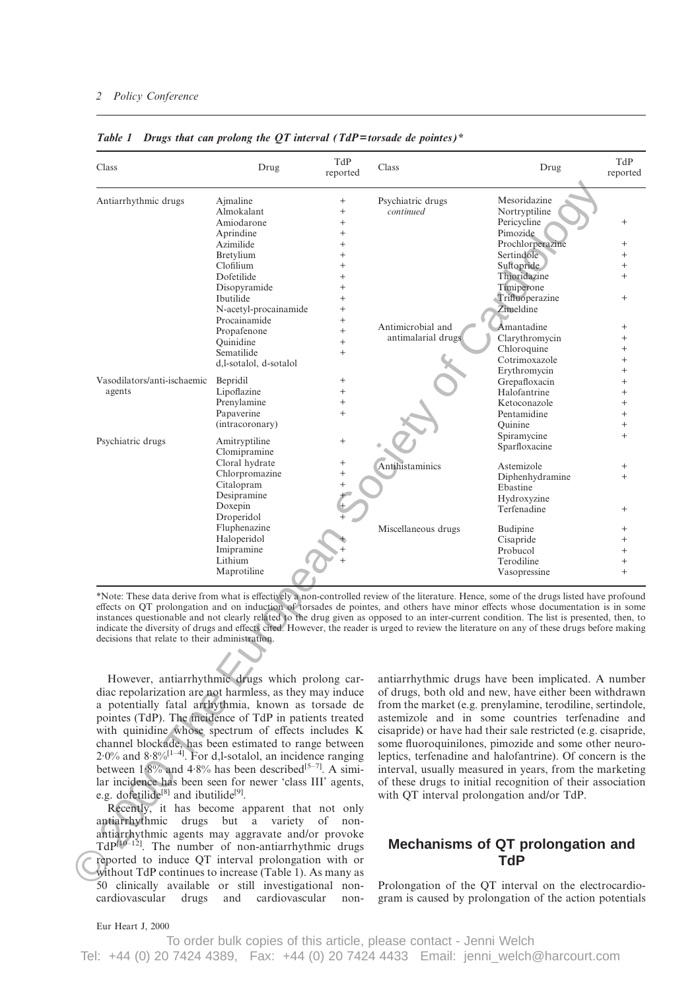#### *2 Policy Conference*

| Class                                                                     | Drug                                             | TdP<br>reported  | Class                                                                                                          | Drug                                                                                                                                                                                                                                                                                                                                                                                                                                                                                                                                                                         | TdP<br>reported     |  |
|---------------------------------------------------------------------------|--------------------------------------------------|------------------|----------------------------------------------------------------------------------------------------------------|------------------------------------------------------------------------------------------------------------------------------------------------------------------------------------------------------------------------------------------------------------------------------------------------------------------------------------------------------------------------------------------------------------------------------------------------------------------------------------------------------------------------------------------------------------------------------|---------------------|--|
| Antiarrhythmic drugs                                                      | Ajmaline                                         | $^{+}$           | Psychiatric drugs                                                                                              | Mesoridazine                                                                                                                                                                                                                                                                                                                                                                                                                                                                                                                                                                 |                     |  |
|                                                                           | Almokalant                                       | $^{+}$           | continued                                                                                                      | Nortryptiline                                                                                                                                                                                                                                                                                                                                                                                                                                                                                                                                                                |                     |  |
|                                                                           | Amiodarone                                       | $^{+}$           |                                                                                                                | Pericycline<br>Pimozide                                                                                                                                                                                                                                                                                                                                                                                                                                                                                                                                                      | $\,+\,$             |  |
|                                                                           | Aprindine<br>Azimilide                           | $^{+}$<br>$^{+}$ |                                                                                                                | Prochlorperazine                                                                                                                                                                                                                                                                                                                                                                                                                                                                                                                                                             | $\overline{+}$      |  |
|                                                                           | Bretylium                                        | $^{+}$           |                                                                                                                | Sertindole                                                                                                                                                                                                                                                                                                                                                                                                                                                                                                                                                                   |                     |  |
|                                                                           | Clofilium                                        | $\ddot{}$        |                                                                                                                | Sultopride                                                                                                                                                                                                                                                                                                                                                                                                                                                                                                                                                                   |                     |  |
|                                                                           | Dofetilide                                       | $\ddot{}$        |                                                                                                                | Thioridazine                                                                                                                                                                                                                                                                                                                                                                                                                                                                                                                                                                 |                     |  |
|                                                                           | Disopyramide                                     | $^{+}$           |                                                                                                                | Timiperone                                                                                                                                                                                                                                                                                                                                                                                                                                                                                                                                                                   |                     |  |
|                                                                           | Ibutilide                                        | $^{+}$           |                                                                                                                | Trifluoperazine                                                                                                                                                                                                                                                                                                                                                                                                                                                                                                                                                              | $^+$                |  |
|                                                                           | N-acetyl-procainamide                            | $\overline{+}$   |                                                                                                                | Zimeldine                                                                                                                                                                                                                                                                                                                                                                                                                                                                                                                                                                    |                     |  |
|                                                                           | Procainamide                                     | $^{+}$           | Antimicrobial and                                                                                              | Amantadine                                                                                                                                                                                                                                                                                                                                                                                                                                                                                                                                                                   |                     |  |
|                                                                           | Propafenone<br>Quinidine                         | $+$<br>$^{+}$    | antimalarial drugs                                                                                             | Clarythromycin                                                                                                                                                                                                                                                                                                                                                                                                                                                                                                                                                               |                     |  |
|                                                                           | Sematilide                                       | $^{+}$           |                                                                                                                | Chloroquine                                                                                                                                                                                                                                                                                                                                                                                                                                                                                                                                                                  | $\ddot{}$           |  |
|                                                                           | d,l-sotalol, d-sotalol                           |                  |                                                                                                                | Cotrimoxazole                                                                                                                                                                                                                                                                                                                                                                                                                                                                                                                                                                | $\ddot{}$           |  |
|                                                                           |                                                  |                  |                                                                                                                | Erythromycin                                                                                                                                                                                                                                                                                                                                                                                                                                                                                                                                                                 | $\ddot{}$           |  |
| Vasodilators/anti-ischaemic                                               | Bepridil                                         | $^{+}$           |                                                                                                                | Grepafloxacin                                                                                                                                                                                                                                                                                                                                                                                                                                                                                                                                                                | $^{+}$              |  |
| agents                                                                    | Lipoflazine<br>Prenylamine                       | $^{+}$<br>$^{+}$ |                                                                                                                | Halofantrine                                                                                                                                                                                                                                                                                                                                                                                                                                                                                                                                                                 | $\ddot{}$           |  |
|                                                                           | Papaverine                                       | $^{+}$           |                                                                                                                | Ketoconazole<br>Pentamidine                                                                                                                                                                                                                                                                                                                                                                                                                                                                                                                                                  | $^{+}$<br>$\ddot{}$ |  |
|                                                                           | (intracoronary)                                  |                  |                                                                                                                | Ouinine                                                                                                                                                                                                                                                                                                                                                                                                                                                                                                                                                                      | $\ddot{}$           |  |
|                                                                           |                                                  |                  |                                                                                                                | Spiramycine                                                                                                                                                                                                                                                                                                                                                                                                                                                                                                                                                                  | $^{+}$              |  |
| Psychiatric drugs                                                         | Amitryptiline<br>Clomipramine                    | $^{+}$           |                                                                                                                | Sparfloxacine                                                                                                                                                                                                                                                                                                                                                                                                                                                                                                                                                                |                     |  |
|                                                                           | Cloral hydrate                                   | $^{+}$           |                                                                                                                |                                                                                                                                                                                                                                                                                                                                                                                                                                                                                                                                                                              |                     |  |
|                                                                           | Chlorpromazine                                   | $^{+}$           | Antihistaminics                                                                                                | Astemizole<br>Diphenhydramine                                                                                                                                                                                                                                                                                                                                                                                                                                                                                                                                                |                     |  |
|                                                                           | Citalopram                                       | $^{+}$           |                                                                                                                | Ebastine                                                                                                                                                                                                                                                                                                                                                                                                                                                                                                                                                                     |                     |  |
|                                                                           | Desipramine                                      |                  |                                                                                                                | Hydroxyzine                                                                                                                                                                                                                                                                                                                                                                                                                                                                                                                                                                  |                     |  |
|                                                                           | Doxepin                                          |                  |                                                                                                                | Terfenadine                                                                                                                                                                                                                                                                                                                                                                                                                                                                                                                                                                  |                     |  |
|                                                                           | Droperidol<br>Fluphenazine                       |                  | Miscellaneous drugs                                                                                            | Budipine                                                                                                                                                                                                                                                                                                                                                                                                                                                                                                                                                                     |                     |  |
|                                                                           | Haloperidol                                      |                  |                                                                                                                | Cisapride                                                                                                                                                                                                                                                                                                                                                                                                                                                                                                                                                                    |                     |  |
|                                                                           | Imipramine                                       |                  |                                                                                                                | Probucol                                                                                                                                                                                                                                                                                                                                                                                                                                                                                                                                                                     |                     |  |
|                                                                           | Lithium                                          |                  |                                                                                                                | Terodiline                                                                                                                                                                                                                                                                                                                                                                                                                                                                                                                                                                   | $^{+}$              |  |
|                                                                           | Maprotiline                                      |                  |                                                                                                                | Vasopressine                                                                                                                                                                                                                                                                                                                                                                                                                                                                                                                                                                 | $^{+}$              |  |
| decisions that relate to their administration.                            |                                                  |                  |                                                                                                                | *Note: These data derive from what is effectively a non-controlled review of the literature. Hence, some of the drugs listed have profound<br>effects on QT prolongation and on induction of torsades de pointes, and others have minor effects whose documentation is in some<br>instances questionable and not clearly related to the drug given as opposed to an inter-current condition. The list is presented, then, to<br>indicate the diversity of drugs and effects cited. However, the reader is urged to review the literature on any of these drugs before making |                     |  |
|                                                                           | However, antiarrhythmic drugs which prolong car- |                  |                                                                                                                | antiarrhythmic drugs have been implicated. A number                                                                                                                                                                                                                                                                                                                                                                                                                                                                                                                          |                     |  |
| diac repolarization are not harmless, as they may induce                  |                                                  |                  |                                                                                                                | of drugs, both old and new, have either been withdrawn                                                                                                                                                                                                                                                                                                                                                                                                                                                                                                                       |                     |  |
| a potentially fatal arrhythmia, known as torsade de                       |                                                  |                  | from the market (e.g. prenylamine, terodiline, sertindole,<br>astemizole and in some countries terfenadine and |                                                                                                                                                                                                                                                                                                                                                                                                                                                                                                                                                                              |                     |  |
| pointes (TdP). The incidence of TdP in patients treated                   |                                                  |                  |                                                                                                                |                                                                                                                                                                                                                                                                                                                                                                                                                                                                                                                                                                              |                     |  |
| with quinidine whose spectrum of effects includes K                       |                                                  |                  | cisapride) or have had their sale restricted (e.g. cisapride,                                                  |                                                                                                                                                                                                                                                                                                                                                                                                                                                                                                                                                                              |                     |  |
| channel blockade, has been estimated to range between                     |                                                  |                  |                                                                                                                | some fluoroquinilones, pimozide and some other neuro-                                                                                                                                                                                                                                                                                                                                                                                                                                                                                                                        |                     |  |
| $2.0\%$ and $8.8\%/0^{[1-4]}$ . For d,l-sotalol, an incidence ranging     |                                                  |                  |                                                                                                                | leptics, terfenadine and halofantrine). Of concern is the                                                                                                                                                                                                                                                                                                                                                                                                                                                                                                                    |                     |  |
| between $1.8\%$ and $4.8\%$ has been described <sup>[5-7]</sup> . A simi- |                                                  |                  |                                                                                                                | interval, usually measured in years, from the marketing                                                                                                                                                                                                                                                                                                                                                                                                                                                                                                                      |                     |  |
| lar incidence has been seen for newer 'class III' agents,                 |                                                  |                  |                                                                                                                | of these drugs to initial recognition of their association                                                                                                                                                                                                                                                                                                                                                                                                                                                                                                                   |                     |  |
| e.g. dofetilide <sup>[8]</sup> and ibutilide <sup>[9]</sup> .             |                                                  |                  |                                                                                                                | with QT interval prolongation and/or TdP.                                                                                                                                                                                                                                                                                                                                                                                                                                                                                                                                    |                     |  |
|                                                                           | Recently, it has become apparent that not only   |                  |                                                                                                                |                                                                                                                                                                                                                                                                                                                                                                                                                                                                                                                                                                              |                     |  |
| antiarrhythmic drugs but a                                                | variety                                          | of<br>non-       |                                                                                                                |                                                                                                                                                                                                                                                                                                                                                                                                                                                                                                                                                                              |                     |  |
| antiarrhythmic agents may aggravate and/or provoke                        |                                                  |                  |                                                                                                                |                                                                                                                                                                                                                                                                                                                                                                                                                                                                                                                                                                              |                     |  |
| TdP <sup>[10-12]</sup> . The number of non-antiarrhythmic drugs           |                                                  |                  |                                                                                                                | Mechanisms of QT prolongation and                                                                                                                                                                                                                                                                                                                                                                                                                                                                                                                                            |                     |  |
| reported to induce QT interval prolongation with or                       |                                                  |                  |                                                                                                                | <b>TdP</b>                                                                                                                                                                                                                                                                                                                                                                                                                                                                                                                                                                   |                     |  |
| without TdP continues to increase (Table 1). As many as                   |                                                  |                  |                                                                                                                |                                                                                                                                                                                                                                                                                                                                                                                                                                                                                                                                                                              |                     |  |
|                                                                           |                                                  |                  |                                                                                                                | 50 clinically available or still investigational non- Prolongation of the OT interval on the electrocardio-                                                                                                                                                                                                                                                                                                                                                                                                                                                                  |                     |  |

#### *Table 1 Drugs that can prolong the QT interval (TdP=torsade de pointes)\**

Recently, it has become apparent that not only antiarrhythmic drugs but a variety of nonantiarrhythmic agents may aggravate and/or provoke TdP<sup>[10-12]</sup>. The number of non-antiarrhythmic drugs reported to induce QT interval prolongation with or without TdP continues to increase (Table 1). As many as 50 clinically available or still investigational noncardiovascular drugs and cardiovascular non-

### **Mechanisms of QT prolongation and TdP**

Prolongation of the QT interval on the electrocardiogram is caused by prolongation of the action potentials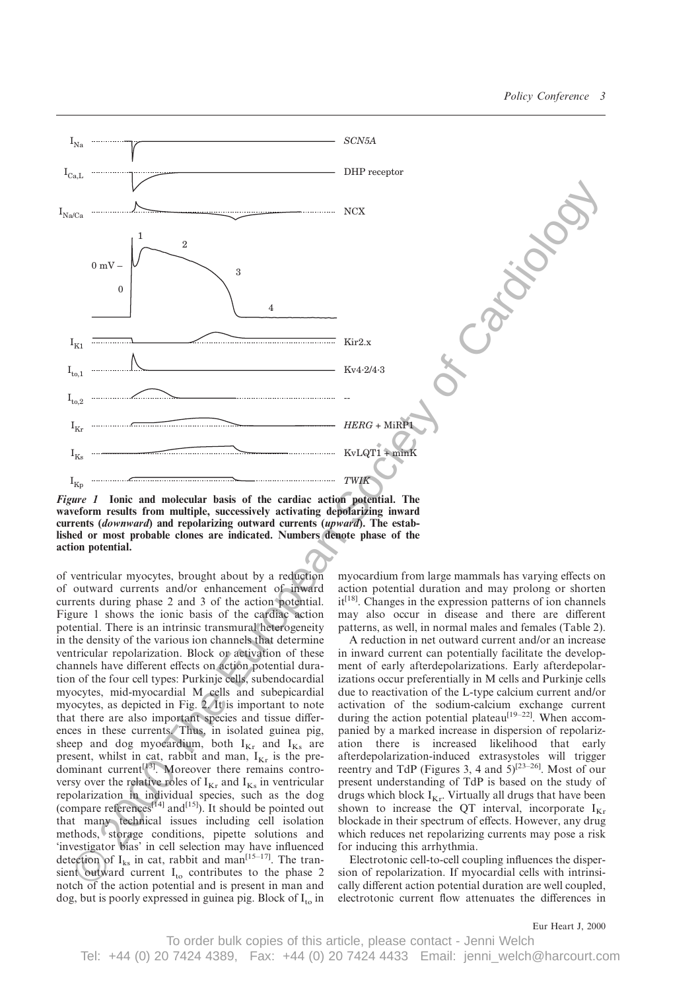

*Figure 1* **Ionic and molecular basis of the cardiac action potential. The waveform results from multiple, successively activating depolarizing inward currents (***downward***) and repolarizing outward currents (***upward***). The established or most probable clones are indicated. Numbers denote phase of the action potential.**

of ventricular myocytes, brought about by a reduction of outward currents and/or enhancement of inward currents during phase 2 and 3 of the action potential. Figure 1 shows the ionic basis of the cardiac action potential. There is an intrinsic transmural heterogeneity in the density of the various ion channels that determine ventricular repolarization. Block or activation of these channels have different effects on action potential duration of the four cell types: Purkinje cells, subendocardial myocytes, mid-myocardial M cells and subepicardial myocytes, as depicted in Fig. 2. It is important to note that there are also important species and tissue differences in these currents. Thus, in isolated guinea pig, sheep and dog myocardium, both  $I_{Kr}$  and  $I_{Ks}$  are present, whilst in cat, rabbit and man,  $I_{Kr}$  is the predominant current<sup>[13]</sup>. Moreover there remains controversy over the relative roles of  $I_{Kr}$  and  $I_{Ks}$  in ventricular repolarization in individual species, such as the dog (compare references<sup>[14]</sup> and<sup>[15]</sup>). It should be pointed out that many technical issues including cell isolation methods, storage conditions, pipette solutions and 'investigator bias' in cell selection may have influenced detection of  $I_{ks}$  in cat, rabbit and man<sup>[15–17]</sup>. The transient outward current  $I_{\text{to}}$  contributes to the phase 2 notch of the action potential and is present in man and dog, but is poorly expressed in guinea pig. Block of  $I_{to}$  in

myocardium from large mammals has varying effects on action potential duration and may prolong or shorten it<sup>[18]</sup>. Changes in the expression patterns of ion channels may also occur in disease and there are different patterns, as well, in normal males and females (Table 2).

A reduction in net outward current and/or an increase in inward current can potentially facilitate the development of early afterdepolarizations. Early afterdepolarizations occur preferentially in M cells and Purkinje cells due to reactivation of the L-type calcium current and/or activation of the sodium-calcium exchange current during the action potential plateau<sup>[19–22]</sup>. When accompanied by a marked increase in dispersion of repolarization there is increased likelihood that early afterdepolarization-induced extrasystoles will trigger reentry and TdP (Figures 3, 4 and  $5$ )<sup>[23-26]</sup>. Most of our present understanding of TdP is based on the study of drugs which block  $I_{Kr}$ . Virtually all drugs that have been shown to increase the QT interval, incorporate  $I_{Kr}$ blockade in their spectrum of effects. However, any drug which reduces net repolarizing currents may pose a risk for inducing this arrhythmia.

Electrotonic cell-to-cell coupling influences the dispersion of repolarization. If myocardial cells with intrinsically different action potential duration are well coupled, electrotonic current flow attenuates the differences in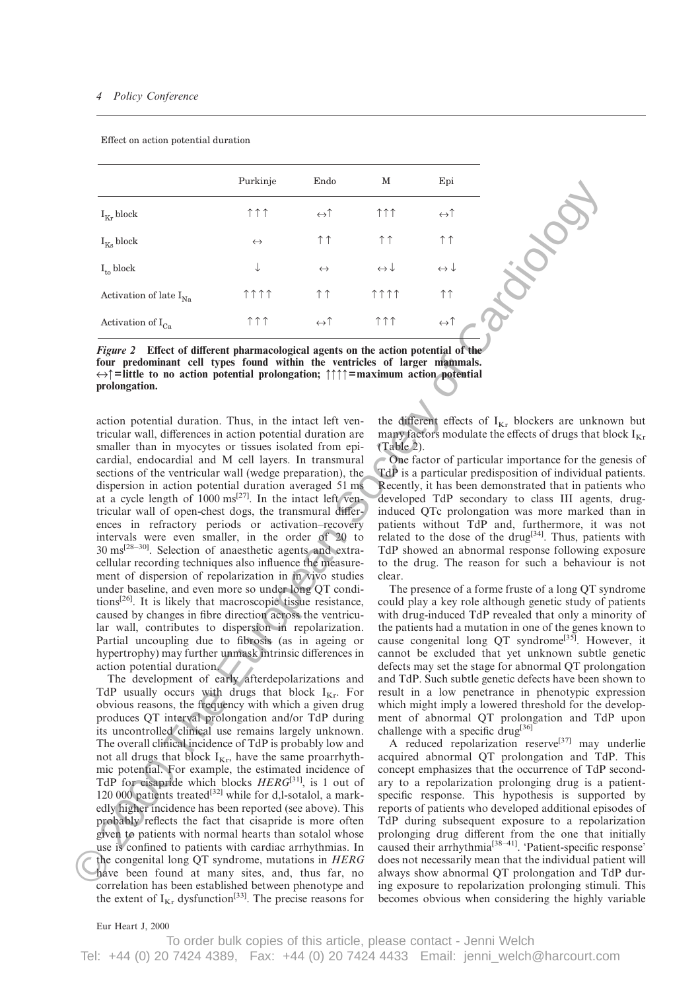Effect on action potential duration

| $\uparrow \uparrow \uparrow$<br>$\leftrightarrow$ $\uparrow$<br>$\uparrow \uparrow$<br>$\leftrightarrow$<br>$\leftrightarrow$<br>T T T T<br>↑↑<br>$\uparrow \uparrow \uparrow$<br>$\leftrightarrow \uparrow$<br><i>Figure 2</i> Effect of different pharmacological agents on the action potential of the<br>four predominant cell types found within the ventricles of larger mammals.<br>$\leftrightarrow \uparrow$ = little to no action potential prolongation; $\uparrow \uparrow \uparrow$ = maximum action potential | $\uparrow \uparrow \uparrow$<br>$\uparrow \uparrow$<br>$\leftrightarrow \downarrow$<br>TTTT<br>$\uparrow \uparrow \uparrow$ | $\leftrightarrow$ $\uparrow$<br>$\uparrow \uparrow$<br>$\leftrightarrow \downarrow$<br>$\uparrow \uparrow$<br>$\leftrightarrow$ $\uparrow$                                                                                                                                                                                                                                                                                                                                                                                                                                                                                                                                                                                                                                                                                                                                                                                                                                                                                                                                                                                                                                                                                                                                                                                                                                                                                                                                                                                                                                                                       |                                                                                                                                                                                                                                                                                                                                                                                                                                                                                                                                                                                                                                                                                                                                                                                                                                                                                                                                                                                                                                                                                                                                                      |
|-----------------------------------------------------------------------------------------------------------------------------------------------------------------------------------------------------------------------------------------------------------------------------------------------------------------------------------------------------------------------------------------------------------------------------------------------------------------------------------------------------------------------------|-----------------------------------------------------------------------------------------------------------------------------|------------------------------------------------------------------------------------------------------------------------------------------------------------------------------------------------------------------------------------------------------------------------------------------------------------------------------------------------------------------------------------------------------------------------------------------------------------------------------------------------------------------------------------------------------------------------------------------------------------------------------------------------------------------------------------------------------------------------------------------------------------------------------------------------------------------------------------------------------------------------------------------------------------------------------------------------------------------------------------------------------------------------------------------------------------------------------------------------------------------------------------------------------------------------------------------------------------------------------------------------------------------------------------------------------------------------------------------------------------------------------------------------------------------------------------------------------------------------------------------------------------------------------------------------------------------------------------------------------------------|------------------------------------------------------------------------------------------------------------------------------------------------------------------------------------------------------------------------------------------------------------------------------------------------------------------------------------------------------------------------------------------------------------------------------------------------------------------------------------------------------------------------------------------------------------------------------------------------------------------------------------------------------------------------------------------------------------------------------------------------------------------------------------------------------------------------------------------------------------------------------------------------------------------------------------------------------------------------------------------------------------------------------------------------------------------------------------------------------------------------------------------------------|
|                                                                                                                                                                                                                                                                                                                                                                                                                                                                                                                             |                                                                                                                             |                                                                                                                                                                                                                                                                                                                                                                                                                                                                                                                                                                                                                                                                                                                                                                                                                                                                                                                                                                                                                                                                                                                                                                                                                                                                                                                                                                                                                                                                                                                                                                                                                  |                                                                                                                                                                                                                                                                                                                                                                                                                                                                                                                                                                                                                                                                                                                                                                                                                                                                                                                                                                                                                                                                                                                                                      |
|                                                                                                                                                                                                                                                                                                                                                                                                                                                                                                                             |                                                                                                                             |                                                                                                                                                                                                                                                                                                                                                                                                                                                                                                                                                                                                                                                                                                                                                                                                                                                                                                                                                                                                                                                                                                                                                                                                                                                                                                                                                                                                                                                                                                                                                                                                                  |                                                                                                                                                                                                                                                                                                                                                                                                                                                                                                                                                                                                                                                                                                                                                                                                                                                                                                                                                                                                                                                                                                                                                      |
|                                                                                                                                                                                                                                                                                                                                                                                                                                                                                                                             |                                                                                                                             |                                                                                                                                                                                                                                                                                                                                                                                                                                                                                                                                                                                                                                                                                                                                                                                                                                                                                                                                                                                                                                                                                                                                                                                                                                                                                                                                                                                                                                                                                                                                                                                                                  |                                                                                                                                                                                                                                                                                                                                                                                                                                                                                                                                                                                                                                                                                                                                                                                                                                                                                                                                                                                                                                                                                                                                                      |
|                                                                                                                                                                                                                                                                                                                                                                                                                                                                                                                             |                                                                                                                             |                                                                                                                                                                                                                                                                                                                                                                                                                                                                                                                                                                                                                                                                                                                                                                                                                                                                                                                                                                                                                                                                                                                                                                                                                                                                                                                                                                                                                                                                                                                                                                                                                  |                                                                                                                                                                                                                                                                                                                                                                                                                                                                                                                                                                                                                                                                                                                                                                                                                                                                                                                                                                                                                                                                                                                                                      |
|                                                                                                                                                                                                                                                                                                                                                                                                                                                                                                                             |                                                                                                                             |                                                                                                                                                                                                                                                                                                                                                                                                                                                                                                                                                                                                                                                                                                                                                                                                                                                                                                                                                                                                                                                                                                                                                                                                                                                                                                                                                                                                                                                                                                                                                                                                                  |                                                                                                                                                                                                                                                                                                                                                                                                                                                                                                                                                                                                                                                                                                                                                                                                                                                                                                                                                                                                                                                                                                                                                      |
| action potential duration. Thus, in the intact left ven-<br>tricular wall, differences in action potential duration are<br>smaller than in myocytes or tissues isolated from epi-                                                                                                                                                                                                                                                                                                                                           | (Table 2).<br>clear.                                                                                                        |                                                                                                                                                                                                                                                                                                                                                                                                                                                                                                                                                                                                                                                                                                                                                                                                                                                                                                                                                                                                                                                                                                                                                                                                                                                                                                                                                                                                                                                                                                                                                                                                                  | the different effects of $I_{Kr}$ blockers are unknown<br>many factors modulate the effects of drugs that b<br>• One factor of particular importance for the go<br>TdP is a particular predisposition of individual<br>Recently, it has been demonstrated that in patie<br>developed TdP secondary to class III agent<br>induced QTc prolongation was more marked<br>patients without TdP and, furthermore, it<br>related to the dose of the drug <sup>[34]</sup> . Thus, patie<br>TdP showed an abnormal response following e<br>to the drug. The reason for such a behaviou<br>The presence of a forme fruste of a long QT sy<br>could play a key role although genetic study of<br>with drug-induced TdP revealed that only a min<br>the patients had a mutation in one of the genes k<br>cause congenital long QT syndrome <sup>[35]</sup> . How<br>cannot be excluded that yet unknown subtle<br>defects may set the stage for abnormal QT prolo<br>and TdP. Such subtle genetic defects have been s<br>result in a low penetrance in phenotypic ex<br>which might imply a lowered threshold for the<br>ment of abnormal QT prolongation and Td |
|                                                                                                                                                                                                                                                                                                                                                                                                                                                                                                                             |                                                                                                                             |                                                                                                                                                                                                                                                                                                                                                                                                                                                                                                                                                                                                                                                                                                                                                                                                                                                                                                                                                                                                                                                                                                                                                                                                                                                                                                                                                                                                                                                                                                                                                                                                                  | A reduced repolarization reserve <sup>[37]</sup> may<br>acquired abnormal QT prolongation and To                                                                                                                                                                                                                                                                                                                                                                                                                                                                                                                                                                                                                                                                                                                                                                                                                                                                                                                                                                                                                                                     |
|                                                                                                                                                                                                                                                                                                                                                                                                                                                                                                                             | 120 000 patients treated <sup>[32]</sup> while for d,l-sotalol, a mark-                                                     | cardial, endocardial and M cell layers. In transmural<br>sections of the ventricular wall (wedge preparation), the<br>dispersion in action potential duration averaged 51 ms<br>at a cycle length of $1000 \text{ ms}^{[27]}$ . In the intact left ven-<br>tricular wall of open-chest dogs, the transmural differ-<br>ences in refractory periods or activation-recovery<br>intervals were even smaller, in the order of 20 to<br>30 ms <sup>[28-30]</sup> . Selection of anaesthetic agents and extra-<br>cellular recording techniques also influence the measure-<br>ment of dispersion of repolarization in in vivo studies<br>under baseline, and even more so under long QT condi-<br>tions <sup>[26]</sup> . It is likely that macroscopic tissue resistance,<br>caused by changes in fibre direction across the ventricu-<br>lar wall, contributes to dispersion in repolarization.<br>Partial uncoupling due to fibrosis (as in ageing or<br>hypertrophy) may further unmask intrinsic differences in<br>The development of early afterdepolarizations and<br>TdP usually occurs with drugs that block $I_{Kr}$ . For<br>obvious reasons, the frequency with which a given drug<br>produces QT interval prolongation and/or TdP during<br>its uncontrolled clinical use remains largely unknown.<br>The overall clinical incidence of TdP is probably low and<br>not all drugs that block $I_{Kr}$ , have the same proarrhyth-<br>mic potential. For example, the estimated incidence of<br>TdP for cisapride which blocks $HERG^{[31]}$ , is 1 out of<br>ary to a repolarization prolonging drug is a | challenge with a specific drug <sup>[36]</sup><br>concept emphasizes that the occurrence of TdP                                                                                                                                                                                                                                                                                                                                                                                                                                                                                                                                                                                                                                                                                                                                                                                                                                                                                                                                                                                                                                                      |

The development of early afterdepolarizations and TdP usually occurs with drugs that block  $I_{Kr}$ . For obvious reasons, the frequency with which a given drug produces QT interval prolongation and/or TdP during its uncontrolled clinical use remains largely unknown. The overall clinical incidence of TdP is probably low and not all drugs that block  $I_{Kr}$ , have the same proarrhythmic potential. For example, the estimated incidence of TdP for cisapride which blocks *HERG*[31], is 1 out of 120 000 patients treated<sup>[32]</sup> while for d,l-sotalol, a markedly higher incidence has been reported (see above). This probably reflects the fact that cisapride is more often given to patients with normal hearts than sotalol whose use is confined to patients with cardiac arrhythmias. In the congenital long QT syndrome, mutations in *HERG* have been found at many sites, and, thus far, no correlation has been established between phenotype and the extent of  $I_{Kr}$  dysfunction<sup>[33]</sup>. The precise reasons for

the different effects of  $I_{Kr}$  blockers are unknown but many factors modulate the effects of drugs that block  $I_{Kr}$ (Table 2).

One factor of particular importance for the genesis of TdP is a particular predisposition of individual patients. Recently, it has been demonstrated that in patients who developed TdP secondary to class III agents, druginduced QTc prolongation was more marked than in patients without TdP and, furthermore, it was not related to the dose of the drug<sup>[34]</sup>. Thus, patients with TdP showed an abnormal response following exposure to the drug. The reason for such a behaviour is not clear.

The presence of a forme fruste of a long QT syndrome could play a key role although genetic study of patients with drug-induced TdP revealed that only a minority of the patients had a mutation in one of the genes known to cause congenital long  $QT$  syndrome<sup>[35]</sup>. However, it cannot be excluded that yet unknown subtle genetic defects may set the stage for abnormal QT prolongation and TdP. Such subtle genetic defects have been shown to result in a low penetrance in phenotypic expression which might imply a lowered threshold for the development of abnormal QT prolongation and TdP upon challenge with a specific drug<sup>[36]</sup>

A reduced repolarization reserve<sup>[37]</sup> may underlie acquired abnormal QT prolongation and TdP. This concept emphasizes that the occurrence of TdP secondary to a repolarization prolonging drug is a patientspecific response. This hypothesis is supported by reports of patients who developed additional episodes of TdP during subsequent exposure to a repolarization prolonging drug different from the one that initially caused their arrhythmia<sup>[38-41]</sup>. 'Patient-specific response' does not necessarily mean that the individual patient will always show abnormal QT prolongation and TdP during exposure to repolarization prolonging stimuli. This becomes obvious when considering the highly variable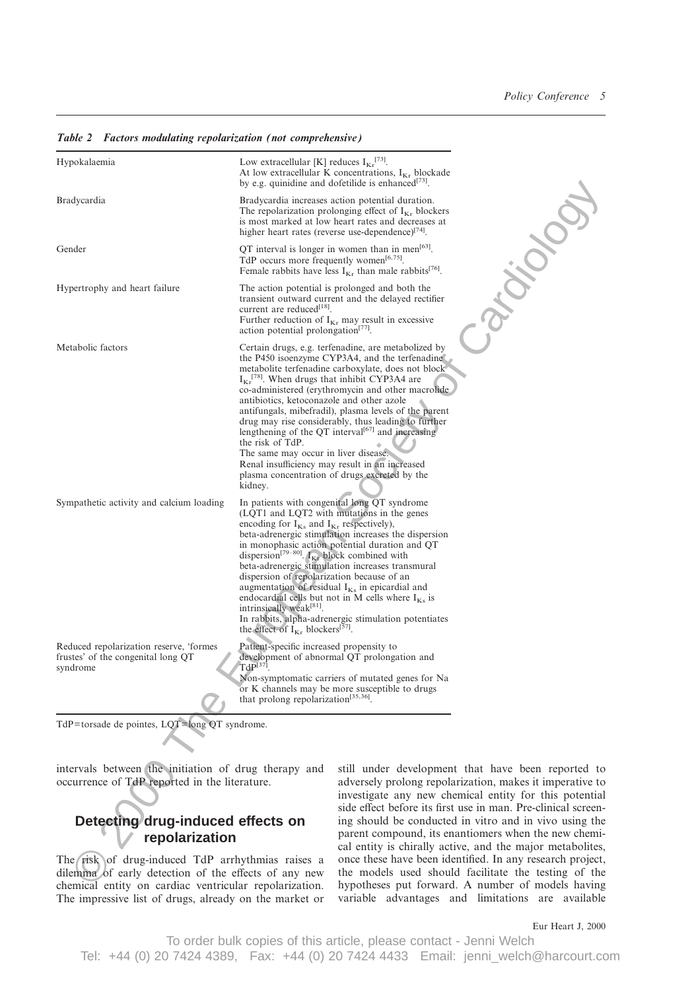| Hypokalaemia                                                                                                                                                        | Low extracellular [K] reduces $I_{Kr}$ <sup>[73]</sup> .                                                                                                                                                                                        | At low extracellular K concentrations, $I_{Kr}$ blockade<br>by e.g. quinidine and dofetilide is enhanced <sup>[73]</sup> .                                                                                                                                                                                                                                                                                                                                                                           |  |  |
|---------------------------------------------------------------------------------------------------------------------------------------------------------------------|-------------------------------------------------------------------------------------------------------------------------------------------------------------------------------------------------------------------------------------------------|------------------------------------------------------------------------------------------------------------------------------------------------------------------------------------------------------------------------------------------------------------------------------------------------------------------------------------------------------------------------------------------------------------------------------------------------------------------------------------------------------|--|--|
| Bradycardia                                                                                                                                                         |                                                                                                                                                                                                                                                 | Bradycardia increases action potential duration.<br>The repolarization prolonging effect of $I_{Kr}$ blockers<br>is most marked at low heart rates and decreases at<br>higher heart rates (reverse use-dependence) $1/4$ .                                                                                                                                                                                                                                                                           |  |  |
| Gender                                                                                                                                                              | TdP occurs more frequently women <sup>[6,75]</sup> .                                                                                                                                                                                            | QT interval is longer in women than in men <sup>[63]</sup> .<br>Female rabbits have less $I_{Kr}$ than male rabbits <sup>[76]</sup> .                                                                                                                                                                                                                                                                                                                                                                |  |  |
| Hypertrophy and heart failure                                                                                                                                       | current are reduced <sup>[18]</sup> .<br>action potential prolongation <sup>[77]</sup> .                                                                                                                                                        | The action potential is prolonged and both the<br>transient outward current and the delayed rectifier<br>Further reduction of $I_{Kr}$ may result in excessive                                                                                                                                                                                                                                                                                                                                       |  |  |
| Metabolic factors                                                                                                                                                   | $I_{\text{Kr}}^{[78]}$ . When drugs that inhibit CYP3A4 are<br>antibiotics, ketoconazole and other azole<br>the risk of TdP.<br>The same may occur in liver disease.<br>kidney.                                                                 | Certain drugs, e.g. terfenadine, are metabolized by<br>the P450 isoenzyme CYP3A4, and the terfenadine<br>metabolite terfenadine carboxylate, does not block<br>co-administered (erythromycin and other macrolide<br>antifungals, mibefradil), plasma levels of the parent<br>drug may rise considerably, thus leading to further<br>lengthening of the QT interval <sup>[67]</sup> and increasing<br>Renal insufficiency may result in an increased<br>plasma concentration of drugs excreted by the |  |  |
| Sympathetic activity and calcium loading                                                                                                                            | encoding for $I_{Ks}$ and $I_{Kr}$ respectively),<br>dispersion <sup>[79-80]</sup> . $I_{Kr}$ block combined with<br>dispersion of repolarization because of an<br>intrinsically weak[81].<br>the effect of $I_{Kr}$ blockers <sup>[57]</sup> . | In patients with congenital long QT syndrome<br>(LQT1 and LQT2 with mutations in the genes<br>beta-adrenergic stimulation increases the dispersion<br>in monophasic action potential duration and QT<br>beta-adrenergic stimulation increases transmural<br>augmentation of residual $I_{Ks}$ in epicardial and<br>endocardial cells but not in M cells where $I_{Ks}$ is<br>In rabbits, alpha-adrenergic stimulation potentiates                                                                    |  |  |
| Reduced repolarization reserve, 'formes<br>frustes' of the congenital long QT<br>syndrome                                                                           | Patient-specific increased propensity to<br>$\text{TdP}^{[37]}$ .<br>that prolong repolarization $[35,36]$ .                                                                                                                                    | development of abnormal QT prolongation and<br>Non-symptomatic carriers of mutated genes for Na<br>or K channels may be more susceptible to drugs                                                                                                                                                                                                                                                                                                                                                    |  |  |
| TdP=torsade de pointes, LQT=long QT syndrome.                                                                                                                       |                                                                                                                                                                                                                                                 |                                                                                                                                                                                                                                                                                                                                                                                                                                                                                                      |  |  |
| intervals between the initiation of drug therapy and<br>occurrence of TdP reported in the literature.<br>Detecting drug-induced effects on<br>repolarization        |                                                                                                                                                                                                                                                 | still under development that have been reported to<br>adversely prolong repolarization, makes it imperative to<br>investigate any new chemical entity for this potential<br>side effect before its first use in man. Pre-clinical screen-<br>ing should be conducted in vitro and in vivo using the<br>parent compound, its enantiomers when the new chemi-<br>cal entity is chirally active, and the major metabolites,                                                                             |  |  |
| The risk of drug-induced TdP arrhythmias raises a<br>dilemma of early detection of the effects of any new<br>chemical entity on cardiac ventricular repolarization. |                                                                                                                                                                                                                                                 | once these have been identified. In any research project,<br>the models used should facilitate the testing of the<br>hypotheses put forward. A number of models having                                                                                                                                                                                                                                                                                                                               |  |  |

*Table 2 Factors modulating repolarization (not comprehensive)*

### **Detecting drug-induced effects on repolarization**

The risk of drug-induced TdP arrhythmias raises a dilemma of early detection of the effects of any new chemical entity on cardiac ventricular repolarization. The impressive list of drugs, already on the market or still under development that have been reported to adversely prolong repolarization, makes it imperative to investigate any new chemical entity for this potential side effect before its first use in man. Pre-clinical screening should be conducted in vitro and in vivo using the parent compound, its enantiomers when the new chemical entity is chirally active, and the major metabolites, once these have been identified. In any research project, the models used should facilitate the testing of the hypotheses put forward. A number of models having variable advantages and limitations are available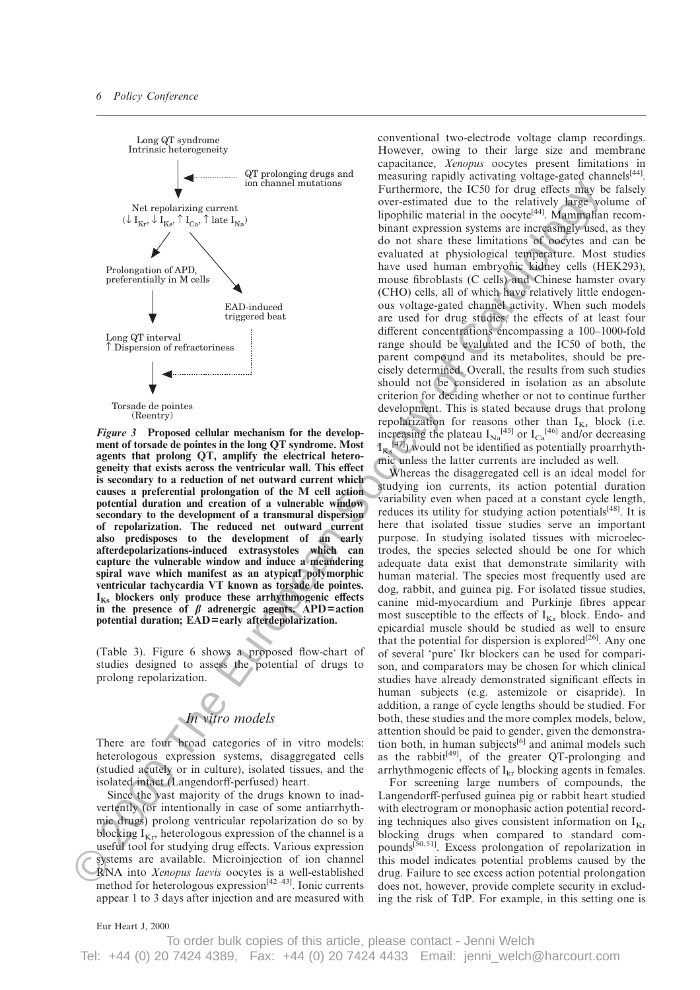



*Figure 3* **Proposed cellular mechanism for the development of torsade de pointes in the long QT syndrome. Most agents that prolong QT, amplify the electrical heterogeneity that exists across the ventricular wall. This effect is secondary to a reduction of net outward current which causes a preferential prolongation of the M cell action potential duration and creation of a vulnerable window secondary to the development of a transmural dispersion of repolarization. The reduced net outward current also predisposes to the development of an early afterdepolarizations-induced extrasystoles which can capture the vulnerable window and induce a meandering spiral wave which manifest as an atypical polymorphic ventricular tachycardia VT known as torsade de pointes. IKs blockers only produce these arrhythmogenic effects** in the presence of  $\beta$  adrenergic agents. APD=action **potential duration; EAD=early afterdepolarization.**

(Table 3). Figure 6 shows a proposed flow-chart of studies designed to assess the potential of drugs to prolong repolarization.



There are four broad categories of in vitro models: heterologous expression systems, disaggregated cells (studied acutely or in culture), isolated tissues, and the isolated intact (Langendorff-perfused) heart.

Since the vast majority of the drugs known to inadvertently (or intentionally in case of some antiarrhythmic drugs) prolong ventricular repolarization do so by blocking  $I_{Kr}$ , heterologous expression of the channel is a useful tool for studying drug effects. Various expression systems are available. Microinjection of ion channel RNA into *Xenopus laevis* oocytes is a well-established method for heterologous expression<sup>[42–43]</sup>. Ionic currents appear 1 to 3 days after injection and are measured with conventional two-electrode voltage clamp recordings. However, owing to their large size and membrane capacitance, *Xenopus* oocytes present limitations in measuring rapidly activating voltage-gated channels<sup>[44]</sup>. Furthermore, the IC50 for drug effects may be falsely over-estimated due to the relatively large volume of lipophilic material in the oocyte<sup> $[44]$ </sup>. Mammalian recombinant expression systems are increasingly used, as they do not share these limitations of oocytes and can be evaluated at physiological temperature. Most studies have used human embryonic kidney cells (HEK293), mouse fibroblasts (C cells) and Chinese hamster ovary (CHO) cells, all of which have relatively little endogenous voltage-gated channel activity. When such models are used for drug studies, the effects of at least four different concentrations encompassing a 100–1000-fold range should be evaluated and the IC50 of both, the parent compound and its metabolites, should be precisely determined. Overall, the results from such studies should not be considered in isolation as an absolute criterion for deciding whether or not to continue further development. This is stated because drugs that prolong repolarization for reasons other than  $I_{K_r}$  block (i.e. increasing the plateau  $I_{\text{Na}}^{[45]}$  or  $I_{\text{Ca}}^{[46]}$  and/or decreasing  $I_{Ks}$ <sup>[47]</sup>) would not be identified as potentially proarrhythmic unless the latter currents are included as well.

For the contents of the specific since the specific since the specific since  $\langle V_{\text{eff}} \rangle$ . And  $\langle V_{\text{eff}} \rangle$  is the specific since the specific since  $\langle V_{\text{eff}} \rangle$  is the specific since the specific since  $\langle V_{\text{eff}} \rangle$  Whereas the disaggregated cell is an ideal model for studying ion currents, its action potential duration variability even when paced at a constant cycle length, reduces its utility for studying action potentials<sup>[48]</sup>. It is here that isolated tissue studies serve an important purpose. In studying isolated tissues with microelectrodes, the species selected should be one for which adequate data exist that demonstrate similarity with human material. The species most frequently used are dog, rabbit, and guinea pig. For isolated tissue studies, canine mid-myocardium and Purkinje fibres appear most susceptible to the effects of  $I_{Kr}$  block. Endo- and epicardial muscle should be studied as well to ensure that the potential for dispersion is explored<sup>[26]</sup>. Any one of several 'pure' Ikr blockers can be used for comparison, and comparators may be chosen for which clinical studies have already demonstrated significant effects in human subjects (e.g. astemizole or cisapride). In addition, a range of cycle lengths should be studied. For both, these studies and the more complex models, below, attention should be paid to gender, given the demonstration both, in human subjects<sup>[6]</sup> and animal models such as the rabbit<sup>[49]</sup>, of the greater QT-prolonging and arrhythmogenic effects of  $I_{kr}$  blocking agents in females.

For screening large numbers of compounds, the Langendorff-perfused guinea pig or rabbit heart studied with electrogram or monophasic action potential recording techniques also gives consistent information on  $I_{Kr}$ blocking drugs when compared to standard compounds $[50,51]$ . Excess prolongation of repolarization in this model indicates potential problems caused by the drug. Failure to see excess action potential prolongation does not, however, provide complete security in excluding the risk of TdP. For example, in this setting one is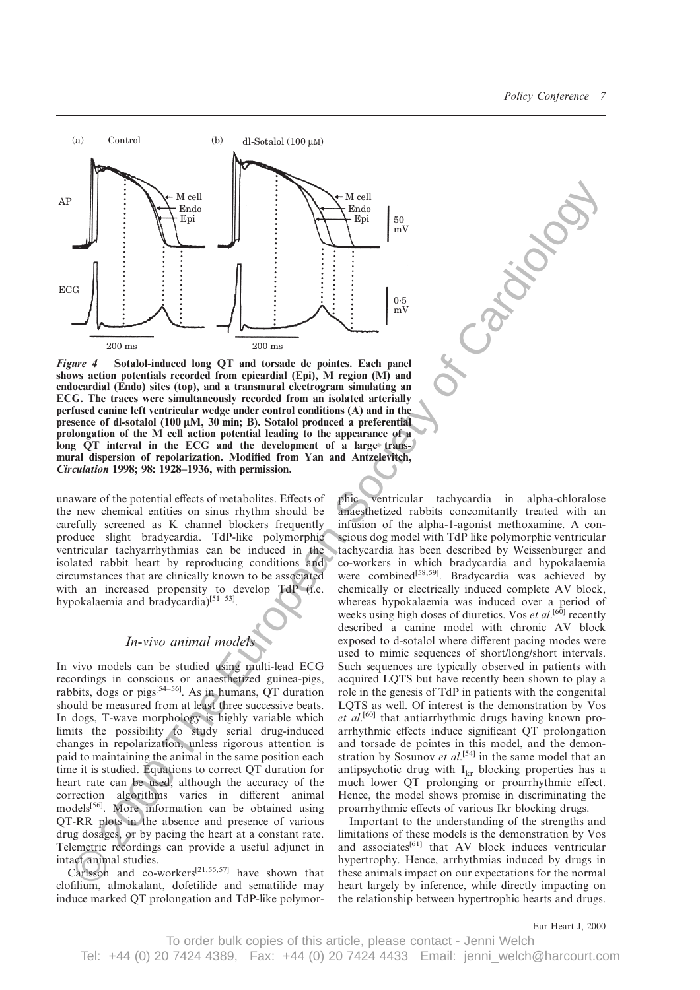

*Figure 4* **Sotalol-induced long QT and torsade de pointes. Each panel shows action potentials recorded from epicardial (Epi), M region (M) and endocardial (Endo) sites (top), and a transmural electrogram simulating an ECG. The traces were simultaneously recorded from an isolated arterially perfused canine left ventricular wedge under control conditions (A) and in the presence of dl-sotalol (100 µM, 30 min; B). Sotalol produced a preferential prolongation of the M cell action potential leading to the appearance of a** long  $\overrightarrow{OT}$  interval in the ECG and the development of a large trans**mural dispersion of repolarization. Modified from Yan and Antzelevitch,** *Circulation* **1998; 98: 1928–1936, with permission.**

unaware of the potential effects of metabolites. Effects of the new chemical entities on sinus rhythm should be carefully screened as K channel blockers frequently produce slight bradycardia. TdP-like polymorphic ventricular tachyarrhythmias can be induced in the isolated rabbit heart by reproducing conditions and circumstances that are clinically known to be associated with an increased propensity to develop TdP (i.e. hypokalaemia and bradycardia)<sup>[51-53]</sup>.

### *In-vivo animal models*

In vivo models can be studied using multi-lead ECG recordings in conscious or anaesthetized guinea-pigs, rabbits, dogs or pigs $[54-56]$ . As in humans, QT duration should be measured from at least three successive beats. In dogs, T-wave morphology is highly variable which limits the possibility to study serial drug-induced changes in repolarization, unless rigorous attention is paid to maintaining the animal in the same position each time it is studied. Equations to correct QT duration for heart rate can be used, although the accuracy of the correction algorithms varies in different animal models<sup>[56]</sup>. More information can be obtained using QT-RR plots in the absence and presence of various drug dosages, or by pacing the heart at a constant rate. Telemetric recordings can provide a useful adjunct in intact animal studies.

Carlsson and co-workers<sup>[21,55,57]</sup> have shown that clofilium, almokalant, dofetilide and sematilide may induce marked QT prolongation and TdP-like polymor-

 $\begin{bmatrix} \mathbf{Y}_{1} & \mathbf{Y}_{2} & \mathbf{Y}_{3} & \mathbf{Y}_{4} & \mathbf{Y}_{5} & \mathbf{Y}_{6} & \mathbf{Y}_{7} & \mathbf{Y}_{8} & \mathbf{Y}_{90} & \mathbf{Y}_{10} & \mathbf{Y}_{11} & \mathbf{Y}_{12} & \mathbf{Y}_{13} & \mathbf{Y}_{14} & \mathbf{Y}_{15} & \mathbf{Y}_{16} & \mathbf{Y}_{17} & \mathbf{Y}_{18} & \mathbf{Y}_{19} & \mathbf{Y}_{10} & \mathbf{Y}_{10} & \mathbf{Y}_{11} & \math$ phic ventricular tachycardia in alpha-chloralose anaesthetized rabbits concomitantly treated with an infusion of the alpha-1-agonist methoxamine. A conscious dog model with TdP like polymorphic ventricular tachycardia has been described by Weissenburger and co-workers in which bradycardia and hypokalaemia were combined<sup>[58,59]</sup>. Bradycardia was achieved by chemically or electrically induced complete AV block, whereas hypokalaemia was induced over a period of weeks using high doses of diuretics. Vos *et al.*<sup>[60]</sup> recently described a canine model with chronic AV block exposed to d-sotalol where different pacing modes were used to mimic sequences of short/long/short intervals. Such sequences are typically observed in patients with acquired LQTS but have recently been shown to play a role in the genesis of TdP in patients with the congenital LQTS as well. Of interest is the demonstration by Vos *et al*. [60] that antiarrhythmic drugs having known proarrhythmic effects induce significant QT prolongation and torsade de pointes in this model, and the demonstration by Sosunov *et al.*<sup>[54]</sup> in the same model that an antipsychotic drug with  $I_{kr}$  blocking properties has a much lower QT prolonging or proarrhythmic effect. Hence, the model shows promise in discriminating the proarrhythmic effects of various Ikr blocking drugs.

Important to the understanding of the strengths and limitations of these models is the demonstration by Vos and associates<sup>[61]</sup> that AV block induces ventricular hypertrophy. Hence, arrhythmias induced by drugs in these animals impact on our expectations for the normal heart largely by inference, while directly impacting on the relationship between hypertrophic hearts and drugs.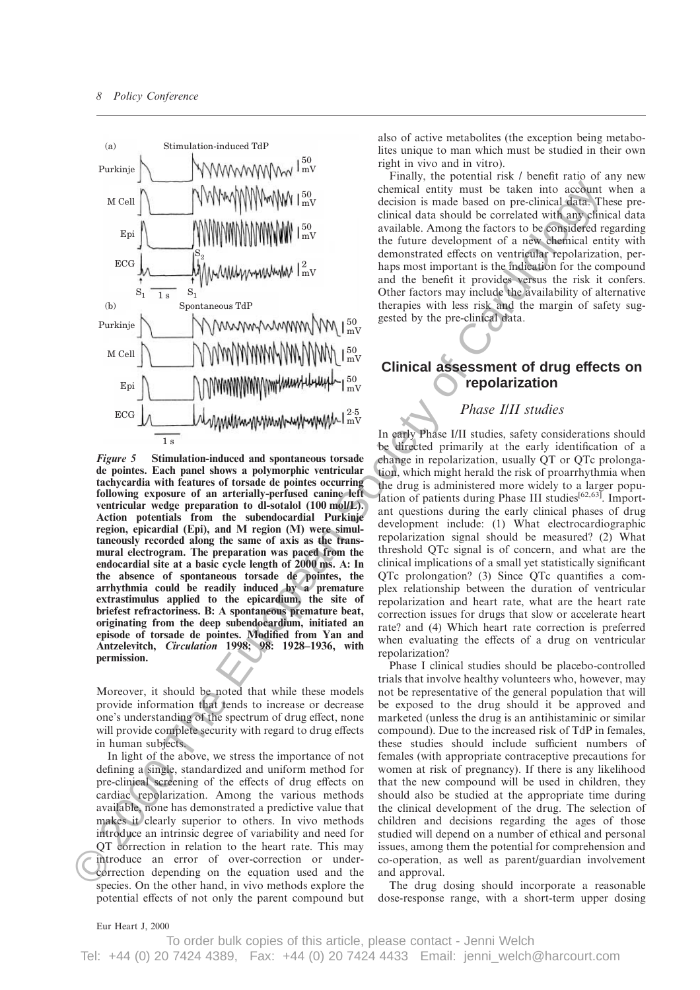

*Figure 5* **Stimulation-induced and spontaneous torsade de pointes. Each panel shows a polymorphic ventricular tachycardia with features of torsade de pointes occurring following exposure of an arterially-perfused canine left ventricular wedge preparation to dl-sotalol (100 mol/L). Action potentials from the subendocardial Purkinje region, epicardial (Epi), and M region (M) were simultaneously recorded along the same of axis as the transmural electrogram. The preparation was paced from the endocardial site at a basic cycle length of 2000 ms. A: In the absence of spontaneous torsade de pointes, the arrhythmia could be readily induced by a premature extrastimulus applied to the epicardium, the site of briefest refractoriness. B: A spontaneous premature beat, originating from the deep subendocardium, initiated an episode of torsade de pointes. Modified from Yan and Antzelevitch,** *Circulation* **1998; 98: 1928–1936, with permission.**

Moreover, it should be noted that while these models provide information that tends to increase or decrease one's understanding of the spectrum of drug effect, none will provide complete security with regard to drug effects in human subjects.

In light of the above, we stress the importance of not defining a single, standardized and uniform method for pre-clinical screening of the effects of drug effects on cardiac repolarization. Among the various methods available, none has demonstrated a predictive value that makes it clearly superior to others. In vivo methods introduce an intrinsic degree of variability and need for QT correction in relation to the heart rate. This may introduce an error of over-correction or undercorrection depending on the equation used and the species. On the other hand, in vivo methods explore the potential effects of not only the parent compound but

also of active metabolites (the exception being metabolites unique to man which must be studied in their own right in vivo and in vitro).

Finally, the potential risk / benefit ratio of any new chemical entity must be taken into account when a decision is made based on pre-clinical data. These preclinical data should be correlated with any clinical data available. Among the factors to be considered regarding the future development of a new chemical entity with demonstrated effects on ventricular repolarization, perhaps most important is the indication for the compound and the benefit it provides versus the risk it confers. Other factors may include the availability of alternative therapies with less risk and the margin of safety suggested by the pre-clinical data.

### **Clinical assessment of drug effects on repolarization**

### *Phase I/II studies*

In early Phase I/II studies, safety considerations should be directed primarily at the early identification of a change in repolarization, usually QT or QTc prolongation, which might herald the risk of proarrhythmia when the drug is administered more widely to a larger population of patients during Phase III studies<sup>[62,63]</sup>. Important questions during the early clinical phases of drug development include: (1) What electrocardiographic repolarization signal should be measured? (2) What threshold QTc signal is of concern, and what are the clinical implications of a small yet statistically significant QTc prolongation? (3) Since QTc quantifies a complex relationship between the duration of ventricular repolarization and heart rate, what are the heart rate correction issues for drugs that slow or accelerate heart rate? and (4) Which heart rate correction is preferred when evaluating the effects of a drug on ventricular repolarization?

Phase I clinical studies should be placebo-controlled trials that involve healthy volunteers who, however, may not be representative of the general population that will be exposed to the drug should it be approved and marketed (unless the drug is an antihistaminic or similar compound). Due to the increased risk of TdP in females, these studies should include sufficient numbers of females (with appropriate contraceptive precautions for women at risk of pregnancy). If there is any likelihood that the new compound will be used in children, they should also be studied at the appropriate time during the clinical development of the drug. The selection of children and decisions regarding the ages of those studied will depend on a number of ethical and personal issues, among them the potential for comprehension and co-operation, as well as parent/guardian involvement and approval.

The drug dosing should incorporate a reasonable dose-response range, with a short-term upper dosing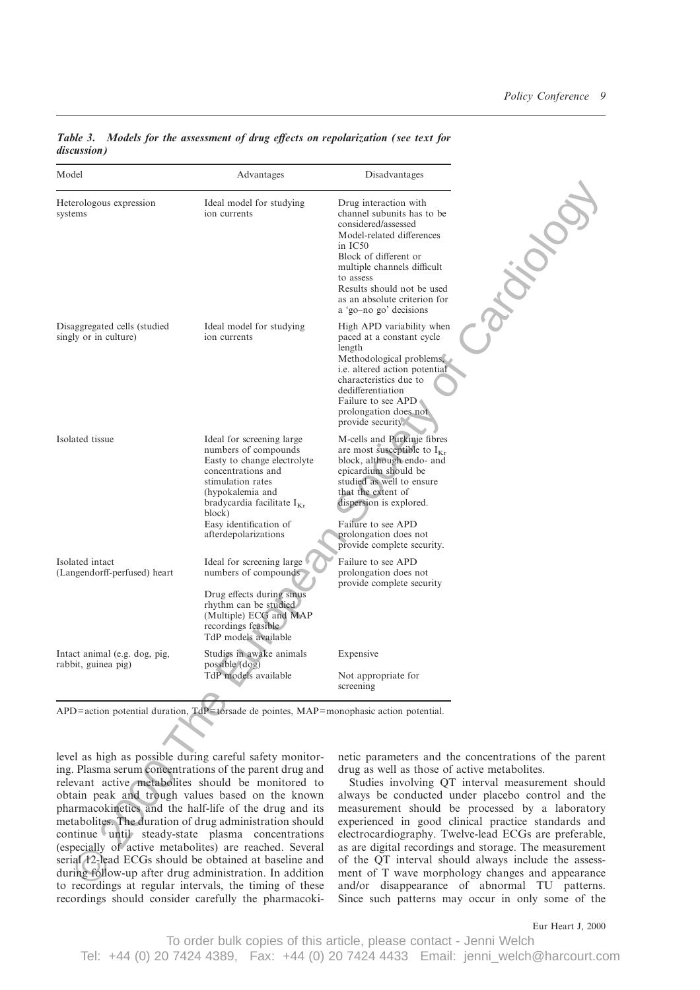| Model                                                 | Advantages                                                                                                                                                                                                                                                                                                                                                                                                                                                                                                                                                                                                                                         | Disadvantages                                                                                                                                                                                                                                                                   |                                                                                                                                                                                                                                                                                                                                                                                                                                                                                                                                                          |
|-------------------------------------------------------|----------------------------------------------------------------------------------------------------------------------------------------------------------------------------------------------------------------------------------------------------------------------------------------------------------------------------------------------------------------------------------------------------------------------------------------------------------------------------------------------------------------------------------------------------------------------------------------------------------------------------------------------------|---------------------------------------------------------------------------------------------------------------------------------------------------------------------------------------------------------------------------------------------------------------------------------|----------------------------------------------------------------------------------------------------------------------------------------------------------------------------------------------------------------------------------------------------------------------------------------------------------------------------------------------------------------------------------------------------------------------------------------------------------------------------------------------------------------------------------------------------------|
| Heterologous expression<br>systems                    | Ideal model for studying<br>ion currents                                                                                                                                                                                                                                                                                                                                                                                                                                                                                                                                                                                                           | Drug interaction with<br>channel subunits has to be<br>considered/assessed<br>Model-related differences<br>in IC50<br>Block of different or<br>multiple channels difficult<br>to assess<br>Results should not be used<br>as an absolute criterion for<br>a 'go-no go' decisions |                                                                                                                                                                                                                                                                                                                                                                                                                                                                                                                                                          |
| Disaggregated cells (studied<br>singly or in culture) | Ideal model for studying<br>ion currents                                                                                                                                                                                                                                                                                                                                                                                                                                                                                                                                                                                                           | High APD variability when<br>paced at a constant cycle<br>length<br>Methodological problems,<br>i.e. altered action potential<br>characteristics due to<br>dedifferentiation<br>Failure to see APD<br>prolongation does not<br>provide security.                                |                                                                                                                                                                                                                                                                                                                                                                                                                                                                                                                                                          |
| Isolated tissue                                       | Ideal for screening large<br>numbers of compounds<br>Easty to change electrolyte<br>concentrations and<br>stimulation rates<br>(hypokalemia and<br>bradycardia facilitate $I_{Kr}$<br>block)<br>Easy identification of<br>afterdepolarizations                                                                                                                                                                                                                                                                                                                                                                                                     | M-cells and Purkinje fibres<br>are most susceptible to $I_{Kr}$<br>block, although endo- and<br>epicardium should be<br>studied as well to ensure<br>that the extent of<br>dispersion is explored.<br>Failure to see APD<br>prolongation does not<br>provide complete security. |                                                                                                                                                                                                                                                                                                                                                                                                                                                                                                                                                          |
| Isolated intact<br>(Langendorff-perfused) heart       | Ideal for screening large<br>numbers of compounds<br>Drug effects during sinus<br>rhythm can be studied<br>(Multiple) ECG and MAP<br>recordings feasible<br>TdP models available                                                                                                                                                                                                                                                                                                                                                                                                                                                                   | Failure to see APD<br>prolongation does not<br>provide complete security                                                                                                                                                                                                        |                                                                                                                                                                                                                                                                                                                                                                                                                                                                                                                                                          |
| Intact animal (e.g. dog, pig,<br>rabbit, guinea pig)  | Studies in awake animals<br>possible (dog)<br>TdP models available                                                                                                                                                                                                                                                                                                                                                                                                                                                                                                                                                                                 | Expensive<br>Not appropriate for<br>screening                                                                                                                                                                                                                                   |                                                                                                                                                                                                                                                                                                                                                                                                                                                                                                                                                          |
|                                                       | $APD$ =action potential duration, $TdP$ =torsade de pointes, $MAP$ =monophasic action potential.                                                                                                                                                                                                                                                                                                                                                                                                                                                                                                                                                   |                                                                                                                                                                                                                                                                                 |                                                                                                                                                                                                                                                                                                                                                                                                                                                                                                                                                          |
|                                                       | level as high as possible during careful safety monitor-<br>ing. Plasma serum concentrations of the parent drug and<br>relevant active metabolites should be monitored to<br>obtain peak and trough values based on the known<br>pharmacokinetics and the half-life of the drug and its<br>metabolites. The duration of drug administration should<br>continue until steady-state plasma concentrations<br>(especially of active metabolites) are reached. Several<br>serial 12-lead ECGs should be obtained at baseline and<br>during follow-up after drug administration. In addition<br>to recordings at regular intervals, the timing of these | drug as well as those of active metabolites.                                                                                                                                                                                                                                    | netic parameters and the concentrations of the parent<br>Studies involving QT interval measurement should<br>always be conducted under placebo control and the<br>measurement should be processed by a laboratory<br>experienced in good clinical practice standards and<br>electrocardiography. Twelve-lead ECGs are preferable,<br>as are digital recordings and storage. The measurement<br>of the QT interval should always include the assess-<br>ment of T wave morphology changes and appearance<br>and/or disappearance of abnormal TU patterns. |

#### *Table 3. Models for the assessment of drug effects on repolarization (see text for discussion)*

level as high as possible during careful safety monitoring. Plasma serum concentrations of the parent drug and relevant active metabolites should be monitored to obtain peak and trough values based on the known pharmacokinetics and the half-life of the drug and its metabolites. The duration of drug administration should continue until steady-state plasma concentrations (especially of active metabolites) are reached. Several serial 12-lead ECGs should be obtained at baseline and during follow-up after drug administration. In addition to recordings at regular intervals, the timing of these recordings should consider carefully the pharmacoki-

Studies involving QT interval measurement should always be conducted under placebo control and the measurement should be processed by a laboratory experienced in good clinical practice standards and electrocardiography. Twelve-lead ECGs are preferable, as are digital recordings and storage. The measurement of the QT interval should always include the assessment of T wave morphology changes and appearance and/or disappearance of abnormal TU patterns. Since such patterns may occur in only some of the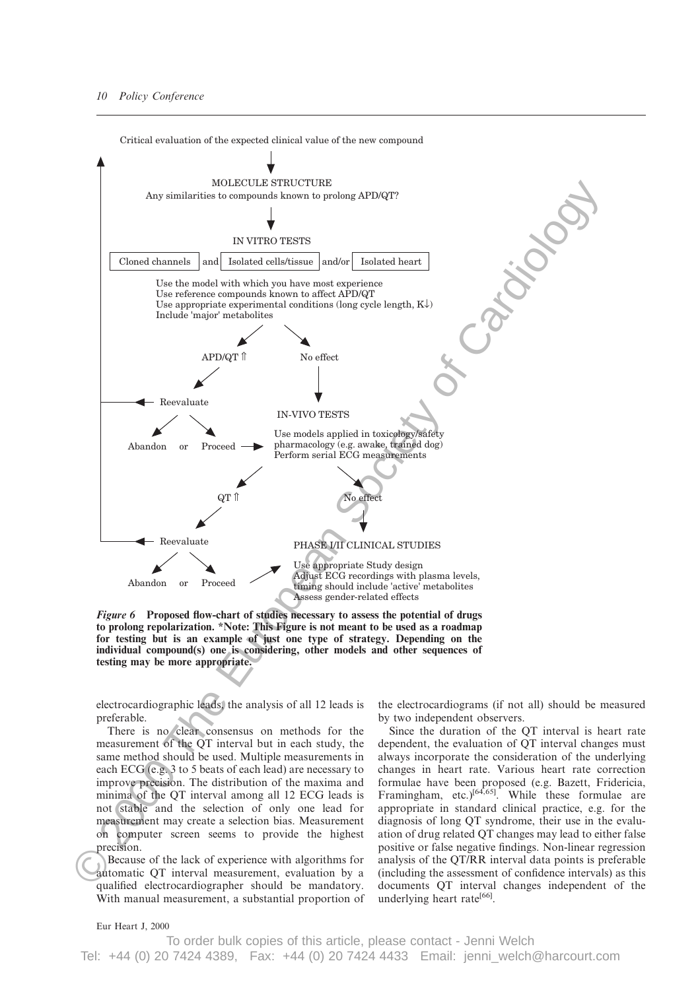

*Figure 6* **Proposed flow-chart of studies necessary to assess the potential of drugs to prolong repolarization. \*Note: This Figure is not meant to be used as a roadmap for testing but is an example of just one type of strategy. Depending on the individual compound(s) one is considering, other models and other sequences of testing may be more appropriate.**

electrocardiographic leads, the analysis of all 12 leads is preferable.

There is no clear consensus on methods for the measurement of the QT interval but in each study, the same method should be used. Multiple measurements in each ECG (e.g. 3 to 5 beats of each lead) are necessary to improve precision. The distribution of the maxima and minima of the QT interval among all 12 ECG leads is not stable and the selection of only one lead for measurement may create a selection bias. Measurement on computer screen seems to provide the highest precision.

Because of the lack of experience with algorithms for automatic QT interval measurement, evaluation by a qualified electrocardiographer should be mandatory. With manual measurement, a substantial proportion of the electrocardiograms (if not all) should be measured by two independent observers.

Since the duration of the QT interval is heart rate dependent, the evaluation of QT interval changes must always incorporate the consideration of the underlying changes in heart rate. Various heart rate correction formulae have been proposed (e.g. Bazett, Fridericia, Framingham, etc.) $[64,65]$ . While these formulae are appropriate in standard clinical practice, e.g. for the diagnosis of long QT syndrome, their use in the evaluation of drug related QT changes may lead to either false positive or false negative findings. Non-linear regression analysis of the QT/RR interval data points is preferable (including the assessment of confidence intervals) as this documents QT interval changes independent of the underlying heart rate<sup>[66]</sup>.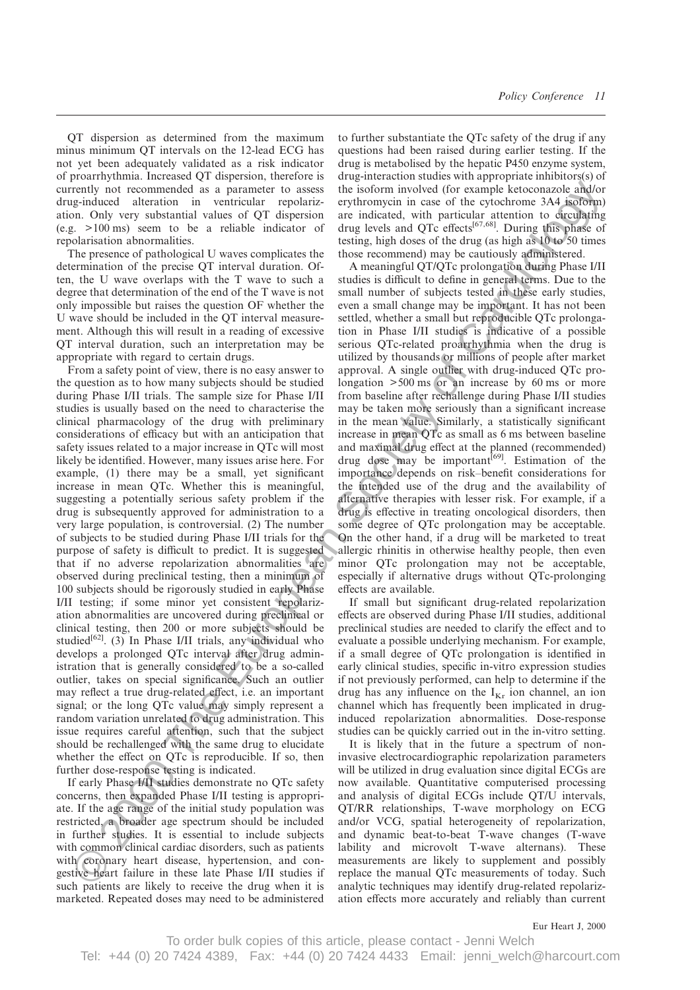QT dispersion as determined from the maximum minus minimum QT intervals on the 12-lead ECG has not yet been adequately validated as a risk indicator of proarrhythmia. Increased QT dispersion, therefore is currently not recommended as a parameter to assess drug-induced alteration in ventricular repolarization. Only very substantial values of QT dispersion (e.g. >100 ms) seem to be a reliable indicator of repolarisation abnormalities.

The presence of pathological U waves complicates the determination of the precise QT interval duration. Often, the U wave overlaps with the T wave to such a degree that determination of the end of the T wave is not only impossible but raises the question OF whether the U wave should be included in the QT interval measurement. Although this will result in a reading of excessive QT interval duration, such an interpretation may be appropriate with regard to certain drugs.

receives for a searched sole in the medicine of the form investigation in the commonly interest in the medicine of the medicine of the medicine of the medicine of the medicine of the medicine of the medicine of the medici From a safety point of view, there is no easy answer to the question as to how many subjects should be studied during Phase I/II trials. The sample size for Phase I/II studies is usually based on the need to characterise the clinical pharmacology of the drug with preliminary considerations of efficacy but with an anticipation that safety issues related to a major increase in QTc will most likely be identified. However, many issues arise here. For example, (1) there may be a small, yet significant increase in mean QTc. Whether this is meaningful, suggesting a potentially serious safety problem if the drug is subsequently approved for administration to a very large population, is controversial. (2) The number of subjects to be studied during Phase I/II trials for the purpose of safety is difficult to predict. It is suggested that if no adverse repolarization abnormalities are observed during preclinical testing, then a minimum of 100 subjects should be rigorously studied in early Phase I/II testing; if some minor yet consistent repolarization abnormalities are uncovered during preclinical or clinical testing, then 200 or more subjects should be studied<sup>[62]</sup>. (3) In Phase I/II trials, any individual who develops a prolonged QTc interval after drug administration that is generally considered to be a so-called outlier, takes on special significance. Such an outlier may reflect a true drug-related effect, i.e. an important signal; or the long QTc value may simply represent a random variation unrelated to drug administration. This issue requires careful attention, such that the subject should be rechallenged with the same drug to elucidate whether the effect on QTc is reproducible. If so, then further dose-response testing is indicated.

If early Phase I/II studies demonstrate no QTc safety concerns, then expanded Phase I/II testing is appropriate. If the age range of the initial study population was restricted, a broader age spectrum should be included in further studies. It is essential to include subjects with common clinical cardiac disorders, such as patients with coronary heart disease, hypertension, and congestive heart failure in these late Phase I/II studies if such patients are likely to receive the drug when it is marketed. Repeated doses may need to be administered

to further substantiate the QTc safety of the drug if any questions had been raised during earlier testing. If the drug is metabolised by the hepatic P450 enzyme system, drug-interaction studies with appropriate inhibitors(s) of the isoform involved (for example ketoconazole and/or erythromycin in case of the cytochrome 3A4 isoform) are indicated, with particular attention to circulating drug levels and QTc effects[67,68]. During this phase of testing, high doses of the drug (as high as 10 to 50 times those recommend) may be cautiously administered.

A meaningful QT/QTc prolongation during Phase I/II studies is difficult to define in general terms. Due to the small number of subjects tested in these early studies, even a small change may be important. It has not been settled, whether a small but reproducible QTc prolongation in Phase I/II studies is indicative of a possible serious QTc-related proarrhythmia when the drug is utilized by thousands or millions of people after market approval. A single outlier with drug-induced QTc prolongation >500 ms or an increase by 60 ms or more from baseline after rechallenge during Phase I/II studies may be taken more seriously than a significant increase in the mean value. Similarly, a statistically significant increase in mean QTc as small as 6 ms between baseline and maximal drug effect at the planned (recommended) drug dose may be important<sup>[69]</sup>. Estimation of the importance depends on risk–benefit considerations for the intended use of the drug and the availability of alternative therapies with lesser risk. For example, if a drug is effective in treating oncological disorders, then some degree of QTc prolongation may be acceptable. On the other hand, if a drug will be marketed to treat allergic rhinitis in otherwise healthy people, then even minor QTc prolongation may not be acceptable, especially if alternative drugs without QTc-prolonging effects are available.

If small but significant drug-related repolarization effects are observed during Phase I/II studies, additional preclinical studies are needed to clarify the effect and to evaluate a possible underlying mechanism. For example, if a small degree of QTc prolongation is identified in early clinical studies, specific in-vitro expression studies if not previously performed, can help to determine if the drug has any influence on the  $I_{Kr}$  ion channel, an ion channel which has frequently been implicated in druginduced repolarization abnormalities. Dose-response studies can be quickly carried out in the in-vitro setting.

It is likely that in the future a spectrum of noninvasive electrocardiographic repolarization parameters will be utilized in drug evaluation since digital ECGs are now available. Quantitative computerised processing and analysis of digital ECGs include QT/U intervals, QT/RR relationships, T-wave morphology on ECG and/or VCG, spatial heterogeneity of repolarization, and dynamic beat-to-beat T-wave changes (T-wave lability and microvolt T-wave alternans). These measurements are likely to supplement and possibly replace the manual QTc measurements of today. Such analytic techniques may identify drug-related repolarization effects more accurately and reliably than current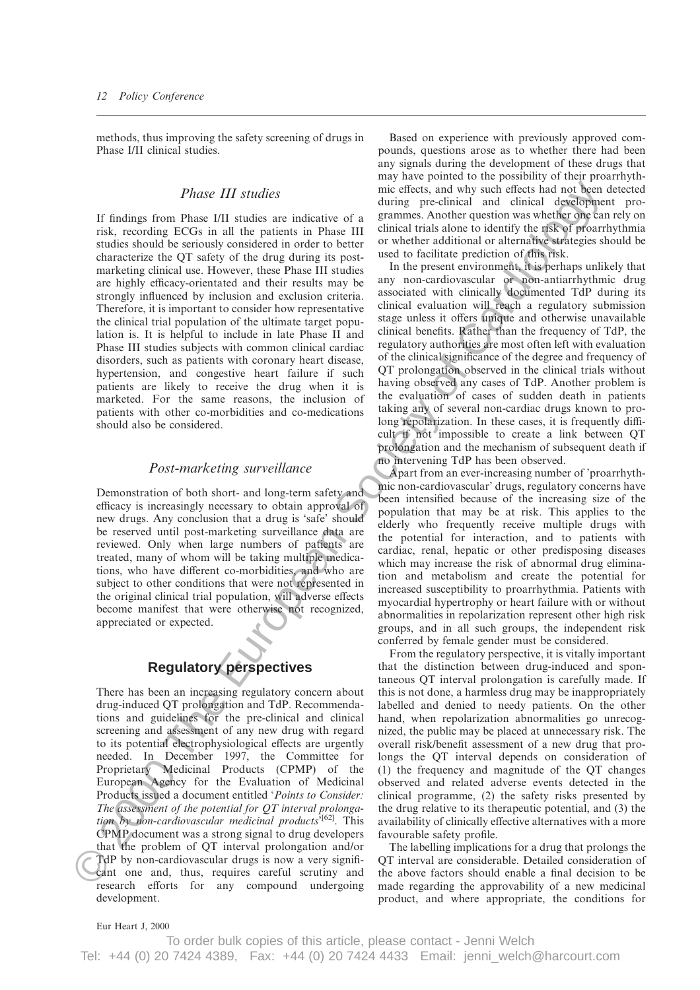methods, thus improving the safety screening of drugs in Phase I/II clinical studies.

### *Phase III studies*

Phase HI studies on interesting and distantial consistential in the end of the second standard and benchment and the second standard and benchment and the second standard and the second standard and the second standard an If findings from Phase I/II studies are indicative of a risk, recording ECGs in all the patients in Phase III studies should be seriously considered in order to better characterize the QT safety of the drug during its postmarketing clinical use. However, these Phase III studies are highly efficacy-orientated and their results may be strongly influenced by inclusion and exclusion criteria. Therefore, it is important to consider how representative the clinical trial population of the ultimate target population is. It is helpful to include in late Phase II and Phase III studies subjects with common clinical cardiac disorders, such as patients with coronary heart disease, hypertension, and congestive heart failure if such patients are likely to receive the drug when it is marketed. For the same reasons, the inclusion of patients with other co-morbidities and co-medications should also be considered.

### *Post-marketing surveillance*

Demonstration of both short- and long-term safety and efficacy is increasingly necessary to obtain approval of new drugs. Any conclusion that a drug is 'safe' should be reserved until post-marketing surveillance data are reviewed. Only when large numbers of patients are treated, many of whom will be taking multiple medications, who have different co-morbidities, and who are subject to other conditions that were not represented in the original clinical trial population, will adverse effects become manifest that were otherwise not recognized, appreciated or expected.

### **Regulatory perspectives**

There has been an increasing regulatory concern about drug-induced QT prolongation and TdP. Recommendations and guidelines for the pre-clinical and clinical screening and assessment of any new drug with regard to its potential electrophysiological effects are urgently needed. In December 1997, the Committee for Proprietary Medicinal Products (CPMP) of the European Agency for the Evaluation of Medicinal Products issued a document entitled '*Points to Consider: The assessment of the potential for QT interval prolongation by non-cardiovascular medicinal products*' [62]. This CPMP document was a strong signal to drug developers that the problem of QT interval prolongation and/or TdP by non-cardiovascular drugs is now a very significant one and, thus, requires careful scrutiny and research efforts for any compound undergoing development.

Based on experience with previously approved compounds, questions arose as to whether there had been any signals during the development of these drugs that may have pointed to the possibility of their proarrhythmic effects, and why such effects had not been detected during pre-clinical and clinical development programmes. Another question was whether one can rely on clinical trials alone to identify the risk of proarrhythmia or whether additional or alternative strategies should be used to facilitate prediction of this risk.

In the present environment, it is perhaps unlikely that any non-cardiovascular or non-antiarrhythmic drug associated with clinically documented TdP during its clinical evaluation will reach a regulatory submission stage unless it offers unique and otherwise unavailable clinical benefits. Rather than the frequency of TdP, the regulatory authorities are most often left with evaluation of the clinical significance of the degree and frequency of QT prolongation observed in the clinical trials without having observed any cases of TdP. Another problem is the evaluation of cases of sudden death in patients taking any of several non-cardiac drugs known to prolong repolarization. In these cases, it is frequently difficult if not impossible to create a link between QT prolongation and the mechanism of subsequent death if no intervening TdP has been observed.

Apart from an ever-increasing number of 'proarrhythmic non-cardiovascular' drugs, regulatory concerns have been intensified because of the increasing size of the population that may be at risk. This applies to the elderly who frequently receive multiple drugs with the potential for interaction, and to patients with cardiac, renal, hepatic or other predisposing diseases which may increase the risk of abnormal drug elimination and metabolism and create the potential for increased susceptibility to proarrhythmia. Patients with myocardial hypertrophy or heart failure with or without abnormalities in repolarization represent other high risk groups, and in all such groups, the independent risk conferred by female gender must be considered.

From the regulatory perspective, it is vitally important that the distinction between drug-induced and spontaneous QT interval prolongation is carefully made. If this is not done, a harmless drug may be inappropriately labelled and denied to needy patients. On the other hand, when repolarization abnormalities go unrecognized, the public may be placed at unnecessary risk. The overall risk/benefit assessment of a new drug that prolongs the QT interval depends on consideration of (1) the frequency and magnitude of the QT changes observed and related adverse events detected in the clinical programme, (2) the safety risks presented by the drug relative to its therapeutic potential, and (3) the availability of clinically effective alternatives with a more favourable safety profile.

The labelling implications for a drug that prolongs the QT interval are considerable. Detailed consideration of the above factors should enable a final decision to be made regarding the approvability of a new medicinal product, and where appropriate, the conditions for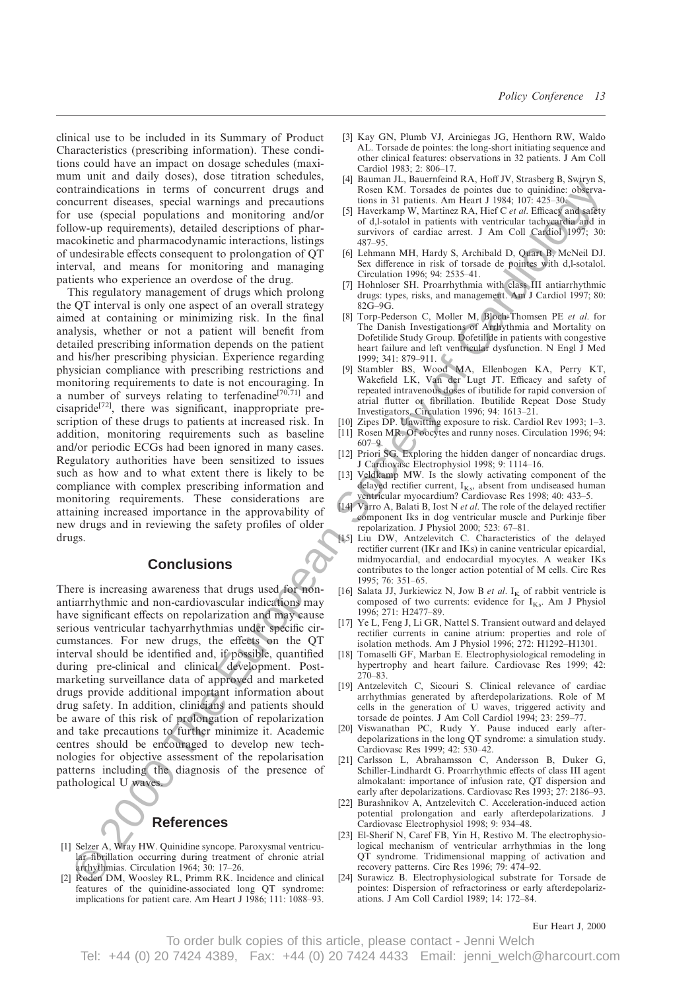clinical use to be included in its Summary of Product Characteristics (prescribing information). These conditions could have an impact on dosage schedules (maximum unit and daily doses), dose titration schedules, contraindications in terms of concurrent drugs and concurrent diseases, special warnings and precautions for use (special populations and monitoring and/or follow-up requirements), detailed descriptions of pharmacokinetic and pharmacodynamic interactions, listings of undesirable effects consequent to prolongation of QT interval, and means for monitoring and managing patients who experience an overdose of the drug.

Extrained Society in the European Society of Cardiotech in the European Society of Cardiotech in the European Society of Cardiotech in the European Society of Cardiotech in the European Society of Cardiotech in the Europe This regulatory management of drugs which prolong the QT interval is only one aspect of an overall strategy aimed at containing or minimizing risk. In the final analysis, whether or not a patient will benefit from detailed prescribing information depends on the patient and his/her prescribing physician. Experience regarding physician compliance with prescribing restrictions and monitoring requirements to date is not encouraging. In a number of surveys relating to terfenadine<sup>[70,71]</sup> and  $c$ isapride<sup>[72]</sup>, there was significant, inappropriate prescription of these drugs to patients at increased risk. In addition, monitoring requirements such as baseline and/or periodic ECGs had been ignored in many cases. Regulatory authorities have been sensitized to issues such as how and to what extent there is likely to be compliance with complex prescribing information and monitoring requirements. These considerations are attaining increased importance in the approvability of new drugs and in reviewing the safety profiles of older drugs.

### **Conclusions**

There is increasing awareness that drugs used for nonantiarrhythmic and non-cardiovascular indications may have significant effects on repolarization and may cause serious ventricular tachyarrhythmias under specific circumstances. For new drugs, the effects on the QT interval should be identified and, if possible, quantified during pre-clinical and clinical development. Postmarketing surveillance data of approved and marketed drugs provide additional important information about drug safety. In addition, clinicians and patients should be aware of this risk of prolongation of repolarization and take precautions to further minimize it. Academic centres should be encouraged to develop new technologies for objective assessment of the repolarisation patterns including the diagnosis of the presence of pathological U waves.

### **References**

- [1] Selzer A, Wray HW. Quinidine syncope. Paroxysmal ventricular fibrillation occurring during treatment of chronic atrial arrhythmias. Circulation 1964; 30: 17–26.
- [2] Roden DM, Woosley RL, Primm RK. Incidence and clinical features of the quinidine-associated long QT syndrome: implications for patient care. Am Heart J 1986; 111: 1088–93.
- [3] Kay GN, Plumb VJ, Arciniegas JG, Henthorn RW, Waldo AL. Torsade de pointes: the long-short initiating sequence and other clinical features: observations in 32 patients. J Am Coll Cardiol 1983; 2: 806–17.
- [4] Bauman JL, Bauernfeind RA, Hoff JV, Strasberg B, Swiryn S, Rosen KM. Torsades de pointes due to quinidine: observations in 31 patients. Am Heart J 1984; 107: 425–30.
- [5] Haverkamp W, Martinez RA, Hief C *et al*. Efficacy and safety of d,l-sotalol in patients with ventricular tachycardia and in survivors of cardiac arrest. J Am Coll Cardiol 1997; 30: 487–95.
- [6] Lehmann MH, Hardy S, Archibald D, Quart B, McNeil DJ. Sex difference in risk of torsade de pointes with d,l-sotalol. Circulation 1996; 94: 2535–41.
- [7] Hohnloser SH. Proarrhythmia with class III antiarrhythmic drugs: types, risks, and management. Am J Cardiol 1997; 80: 82G–9G.
- [8] Torp-Pederson C, Moller M, Bloch-Thomsen PE *et al*. for The Danish Investigations of Arrhythmia and Mortality on Dofetilide Study Group. Dofetilide in patients with congestive heart failure and left ventricular dysfunction. N Engl J Med 1999; 341: 879–911.
- [9] Stambler BS, Wood MA, Ellenbogen KA, Perry KT, Wakefield LK, Van der Lugt JT. Efficacy and safety of repeated intravenous doses of ibutilide for rapid conversion of atrial flutter or fibrillation. Ibutilide Repeat Dose Study Investigators. Circulation 1996; 94: 1613–21.
- [10] Zipes DP. Unwitting exposure to risk. Cardiol Rev 1993; 1–3.
- [11] Rosen MR. Of oocytes and runny noses. Circulation 1996; 94: 607–9.
- [12] Priori SG. Exploring the hidden danger of noncardiac drugs. J Cardiovasc Electrophysiol 1998; 9: 1114–16.
- Veldkamp MW. Is the slowly activating component of the delayed rectifier current,  $I_{Ks}$ , absent from undiseased human ventricular myocardium? Cardiovasc Res 1998; 40: 433–5.
- [14] Varro A, Balati B, Iost N *et al*. The role of the delayed rectifier component Iks in dog ventricular muscle and Purkinje fiber repolarization. J Physiol 2000; 523: 67–81.
- [15] Liu DW, Antzelevitch C. Characteristics of the delayed rectifier current (IKr and IKs) in canine ventricular epicardial, midmyocardial, and endocardial myocytes. A weaker IKs contributes to the longer action potential of M cells. Circ Res 1995; 76: 351–65.
- [16] Salata JJ, Jurkiewicz N, Jow B *et al.*  $I<sub>K</sub>$  of rabbit ventricle is composed of two currents: evidence for  $I_{Ks}$ . Am J Physiol 1996; 271: H2477–89.
- [17] Ye L, Feng J, Li GR, Nattel S. Transient outward and delayed rectifier currents in canine atrium: properties and role of isolation methods. Am J Physiol 1996; 272: H1292–H1301.
- [18] Tomaselli GF, Marban E. Electrophysiological remodeling in hypertrophy and heart failure. Cardiovasc Res 1999; 42: 270–83.
- [19] Antzelevitch C, Sicouri S. Clinical relevance of cardiac arrhythmias generated by afterdepolarizations. Role of M cells in the generation of U waves, triggered activity and torsade de pointes. J Am Coll Cardiol 1994; 23: 259–77.
- [20] Viswanathan PC, Rudy Y. Pause induced early afterdepolarizations in the long QT syndrome: a simulation study. Cardiovasc Res 1999; 42: 530–42.
- [21] Carlsson L, Abrahamsson C, Andersson B, Duker G, Schiller-Lindhardt G. Proarrhythmic effects of class III agent almokalant: importance of infusion rate, QT dispersion and early after depolarizations. Cardiovasc Res 1993; 27: 2186–93.
- [22] Burashnikov A, Antzelevitch C. Acceleration-induced action potential prolongation and early afterdepolarizations. J Cardiovasc Electrophysiol 1998; 9: 934–48.
- [23] El-Sherif N, Caref FB, Yin H, Restivo M. The electrophysiological mechanism of ventricular arrhythmias in the long QT syndrome. Tridimensional mapping of activation and recovery patterns. Circ Res 1996; 79: 474–92.
- [24] Surawicz B. Electrophysiological substrate for Torsade de pointes: Dispersion of refractoriness or early afterdepolarizations. J Am Coll Cardiol 1989; 14: 172–84.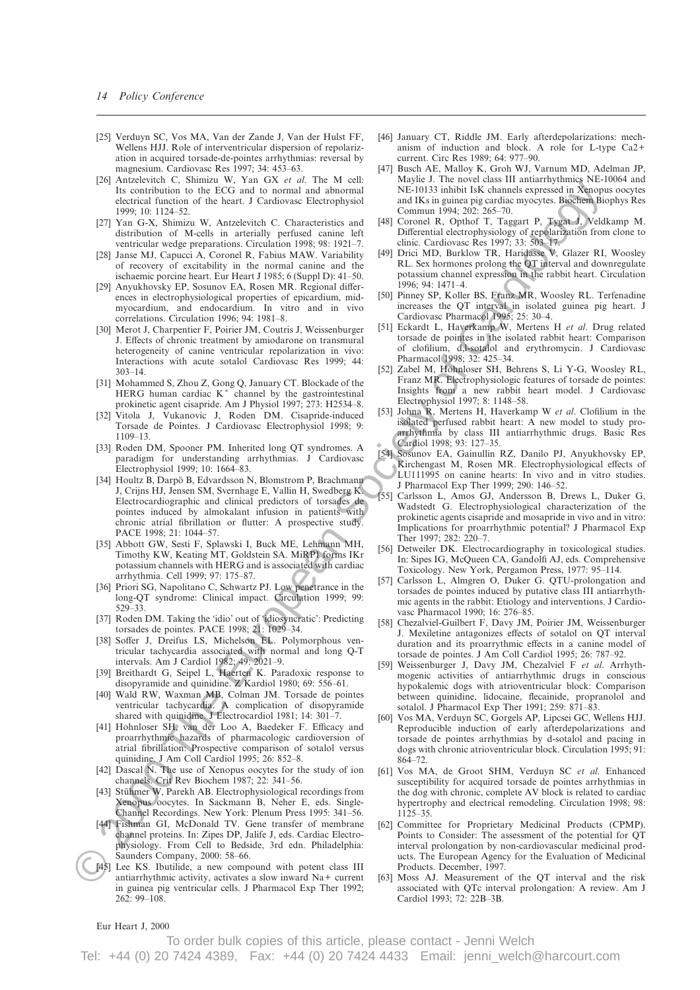- [25] Verduyn SC, Vos MA, Van der Zande J, Van der Hulst FF, Wellens HJJ. Role of interventricular dispersion of repolarization in acquired torsade-de-pointes arrhythmias: reversal by magnesium. Cardiovasc Res 1997; 34: 453–63.
- [26] Antzelevitch C, Shimizu W, Yan GX *et al*. The M cell: Its contribution to the ECG and to normal and abnormal electrical function of the heart. J Cardiovasc Electrophysiol 1999; 10: 1124–52.
- [27] Yan G-X, Shimizu W, Antzelevitch C. Characteristics and distribution of M-cells in arterially perfused canine left ventricular wedge preparations. Circulation 1998; 98: 1921–7.
- [28] Janse MJ, Capucci A, Coronel R, Fabius MAW. Variability of recovery of excitability in the normal canine and the ischaemic porcine heart. Eur Heart J 1985; 6 (Suppl D): 41–50.
- [29] Anyukhovsky EP, Sosunov EA, Rosen MR. Regional differences in electrophysiological properties of epicardium, midmyocardium, and endocardium. In vitro and in vivo correlations. Circulation 1996; 94: 1981–8.
- [30] Merot J, Charpentier F, Poirier JM, Coutris J, Weissenburger J. Effects of chronic treatment by amiodarone on transmural heterogeneity of canine ventricular repolarization in vivo: Interactions with acute sotalol Cardiovasc Res 1999; 44: 303–14.
- [31] Mohammed S, Zhou Z, Gong O, January CT, Blockade of the HERG human cardiac  $K^+$  channel by the gastrointestinal prokinetic agent cisapride. Am J Physiol 1997; 273: H2534–8.
- [32] Vitola J, Vukanovic J, Roden DM. Cisapride-induced Torsade de Pointes. J Cardiovasc Electrophysiol 1998; 9: 1109–13.
- [33] Roden DM, Spooner PM. Inherited long QT syndromes. A paradigm for understanding arrhythmias. J Cardiovasc Electrophysiol 1999; 10: 1664–83.
- FT IN CONSERVATION CONTINUES INTO A CONSERVATION CONTINUES IN CONSERVATION CONTINUES IN CONSERVATION CONTINUES IN CONTINUES IN CONSERVATION CONTINUES INTO A CONSERVATION CONTINUES IN CONTINUES IN CONTINUES IN CONTINUES I [34] Houltz B, Darpö B, Edvardsson N, Blomstrom P, Brachmann J, Crijns HJ, Jensen SM, Svernhage E, Vallin H, Swedberg K. Electrocardiographic and clinical predictors of torsades de pointes induced by almokalant infusion in patients with chronic atrial fibrillation or flutter: A prospective study. PACE 1998; 21: 1044–57.
	- [35] Abbott GW, Sesti F, Splawski I, Buck ME, Lehmann MH, Timothy KW, Keating MT, Goldstein SA. MiRP1 forms IKr potassium channels with HERG and is associated with cardiac arrhythmia. Cell 1999; 97: 175–87.
	- [36] Priori SG, Napolitano C, Schwartz PJ. Low penetrance in the long-QT syndrome: Clinical impact. Circulation 1999; 99: 529–33.
	- [37] Roden DM. Taking the 'idio' out of 'idiosyncratic': Predicting torsades de pointes. PACE 1998; 21: 1029–34.
	- [38] Soffer J, Dreifus LS, Michelson EL. Polymorphous ventricular tachycardia associated with normal and long Q-T intervals. Am J Cardiol 1982; 49: 2021–9.
	- [39] Breithardt G, Seipel L, Haerten K. Paradoxic response to disopyramide and quinidine. Z Kardiol 1980; 69: 556–61.
	- [40] Wald RW, Waxman MB, Colman JM. Torsade de pointes ventricular tachycardia. A complication of disopyramide shared with quinidine. J Electrocardiol 1981; 14: 301–7.
	- [41] Hohnloser SH, van der Loo A, Baedeker F. Efficacy and proarrhythmic hazards of pharmacologic cardioversion of atrial fibrillation: Prospective comparison of sotalol versus quinidine. J Am Coll Cardiol 1995; 26: 852–8.
	- [42] Dascal N. The use of Xenopus oocytes for the study of ion channels. Crit Rev Biochem 1987; 22: 341–56.
	- [43] Stühmer W, Parekh AB. Electrophysiological recordings from Xenopus oocytes. In Sackmann B, Neher E, eds. Single-Channel Recordings. New York: Plenum Press 1995: 341–56.
	- [44] Fishman GI, McDonald TV. Gene transfer of membrane channel proteins. In: Zipes DP, Jalife J, eds. Cardiac Electrophysiology. From Cell to Bedside, 3rd edn. Philadelphia: Saunders Company, 2000: 58–66.
	- [45] Lee KS. Ibutilide, a new compound with potent class III antiarrhythmic activity, activates a slow inward Na+ current in guinea pig ventricular cells. J Pharmacol Exp Ther 1992; 262: 99–108.

[46] January CT, Riddle JM. Early afterdepolarizations: mechanism of induction and block. A role for L-type Ca2+ current. Circ Res 1989; 64: 977–90.

- [47] Busch AE, Malloy K, Groh WJ, Varnum MD, Adelman JP, Maylie J. The novel class III antiarrhythmics NE-10064 and NE-10133 inhibit IsK channels expressed in Xenopus oocytes and IKs in guinea pig cardiac myocytes. Biochem Biophys Res Commun 1994; 202: 265–70.
- [48] Coronel R, Opthof T, Taggart P, Tygat J, Veldkamp M. Differential electrophysiology of repolarization from clone to clinic. Cardiovasc Res 1997; 33: 503–17.
- [49] Drici MD, Burklow TR, Haridasse V, Glazer RI, Woosley RL. Sex hormones prolong the QT interval and downregulate potassium channel expression in the rabbit heart. Circulation 1996; 94: 1471–4.
- [50] Pinney SP, Koller BS, Franz MR, Woosley RL. Terfenadine increases the QT interval in isolated guinea pig heart. J Cardiovasc Pharmacol 1995; 25: 30–4.
- [51] Eckardt L, Haverkamp W, Mertens H *et al*. Drug related torsade de pointes in the isolated rabbit heart: Comparison of clofilium, d,l-sotalol and erythromycin. J Cardiovasc Pharmacol 1998; 32: 425–34.
- [52] Zabel M, Hohnloser SH, Behrens S, Li Y-G, Woosley RL, Franz MR. Electrophysiologic features of torsade de pointes: Insights from a new rabbit heart model. J Cardiovasc Electrophysiol 1997; 8: 1148–58.
- [53] Johna R, Mertens H, Haverkamp W *et al*. Clofilium in the isolated perfused rabbit heart: A new model to study proarrhythmia by class III antiarrhythmic drugs. Basic Res Cardiol 1998; 93: 127–35.
- [54] Sosunov EA, Gainullin RZ, Danilo PJ, Anyukhovsky EP, Kirchengast M, Rosen MR. Electrophysiological effects of LU111995 on canine hearts: In vivo and in vitro studies. J Pharmacol Exp Ther 1999; 290: 146–52.
- [55] Carlsson L, Amos GJ, Andersson B, Drews L, Duker G, Wadstedt G. Electrophysiological characterization of the prokinetic agents cisapride and mosapride in vivo and in vitro: Implications for proarrhythmic potential? J Pharmacol Exp Ther 1997; 282: 220–7.
- [56] Detweiler DK. Electrocardiography in toxicological studies. In: Sipes IG, McQueen CA, Gandolfi AJ, eds. Comprehensive Toxicology. New York, Pergamon Press, 1977: 95–114.
- [57] Carlsson L, Almgren O, Duker G. QTU-prolongation and torsades de pointes induced by putative class III antiarrhythmic agents in the rabbit: Etiology and interventions. J Cardiovasc Pharmacol 1990; 16: 276–85.
- [58] Chezalviel-Guilbert F, Davy JM, Poirier JM, Weissenburger J. Mexiletine antagonizes effects of sotalol on QT interval duration and its proarrythmic effects in a canine model of torsade de pointes. J Am Coll Cardiol 1995; 26: 787–92.
- [59] Weissenburger J, Davy JM, Chezalviel F *et al*. Arrhythmogenic activities of antiarrhythmic drugs in conscious hypokalemic dogs with atrioventricular block: Comparison between quinidine, lidocaine, flecainide, propranolol and sotalol. J Pharmacol Exp Ther 1991; 259: 871–83.
- [60] Vos MA, Verduyn SC, Gorgels AP, Lipcsei GC, Wellens HJJ. Reproducible induction of early afterdepolarizations and torsade de pointes arrhythmias by d-sotalol and pacing in dogs with chronic atrioventricular block. Circulation 1995; 91: 864–72.
- [61] Vos MA, de Groot SHM, Verduyn SC *et al*. Enhanced susceptibility for acquired torsade de pointes arrhythmias in the dog with chronic, complete AV block is related to cardiac hypertrophy and electrical remodeling. Circulation 1998; 98: 1125–35.
- [62] Committee for Proprietary Medicinal Products (CPMP). Points to Consider: The assessment of the potential for QT interval prolongation by non-cardiovascular medicinal products. The European Agency for the Evaluation of Medicinal Products. December, 1997.
- [63] Moss AJ. Measurement of the QT interval and the risk associated with QTc interval prolongation: A review. Am J Cardiol 1993; 72: 22B–3B.

#### Eur Heart J, 2000

To order bulk copies of this article, please contact - Jenni Welch Tel: +44 (0) 20 7424 4389, Fax: +44 (0) 20 7424 4433 Email: jenni\_welch@harcourt.com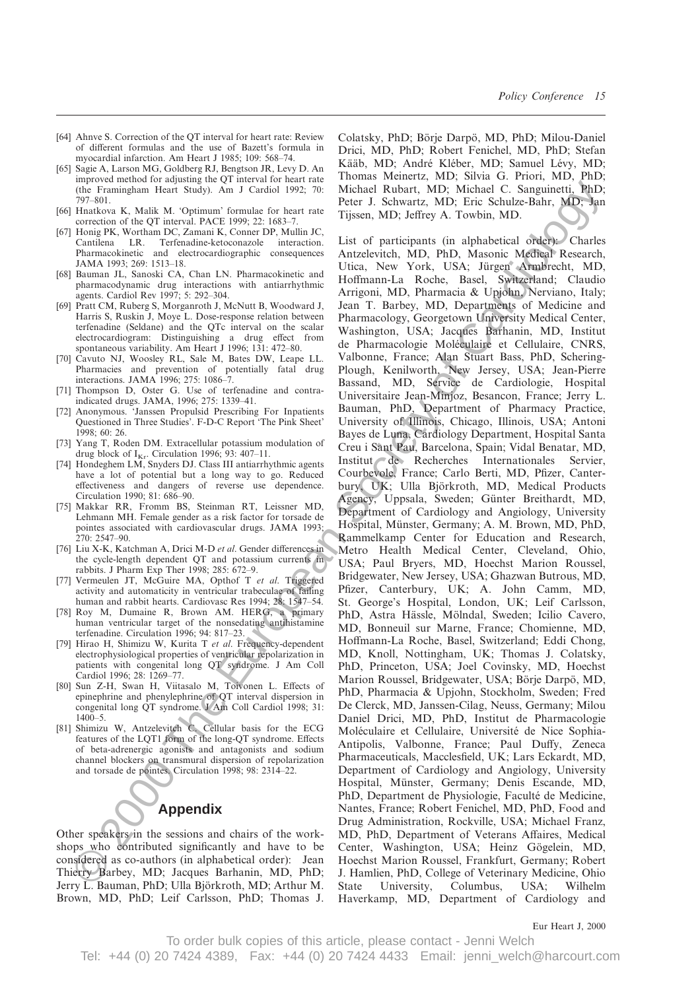- [64] Ahnve S. Correction of the QT interval for heart rate: Review of different formulas and the use of Bazett's formula in myocardial infarction. Am Heart J 1985; 109: 568–74.
- [65] Sagie A, Larson MG, Goldberg RJ, Bengtson JR, Levy D. An improved method for adjusting the QT interval for heart rate (the Framingham Heart Study). Am J Cardiol 1992; 70: 797–801.
- [66] Hnatkova K, Malik M. 'Optimum' formulae for heart rate correction of the QT interval. PACE 1999; 22: 1683–7.
- [67] Honig PK, Wortham DC, Zamani K, Conner DP, Mullin JC, Cantilena LR. Terfenadine-ketoconazole interaction. Pharmacokinetic and electrocardiographic consequences JAMA 1993; 269: 1513–18.
- [68] Bauman JL, Sanoski CA, Chan LN. Pharmacokinetic and pharmacodynamic drug interactions with antiarrhythmic agents. Cardiol Rev 1997; 5: 292–304.
- [69] Pratt CM, Ruberg S, Morganroth J, McNutt B, Woodward J, Harris S, Ruskin J, Moye L. Dose-response relation between terfenadine (Seldane) and the QTc interval on the scalar electrocardiogram: Distinguishing a drug effect from spontaneous variability. Am Heart J 1996; 131: 472–80.
- [70] Cavuto NJ, Woosley RL, Sale M, Bates DW, Leape LL. Pharmacies and prevention of potentially fatal drug interactions. JAMA 1996; 275: 1086–7.
- [71] Thompson D, Oster G. Use of terfenadine and contraindicated drugs. JAMA, 1996; 275: 1339–41.
- [72] Anonymous. 'Janssen Propulsid Prescribing For Inpatients Questioned in Three Studies'. F-D-C Report 'The Pink Sheet' 1998; 60: 26.
- [73] Yang T, Roden DM. Extracellular potassium modulation of drug block of  $I_{Kr}$ . Circulation 1996; 93: 407-11.
- [74] Hondeghem LM, Snyders DJ. Class III antiarrhythmic agents have a lot of potential but a long way to go. Reduced effectiveness and dangers of reverse use dependence. Circulation 1990; 81: 686–90.
- [75] Makkar RR, Fromm BS, Steinman RT, Leissner MD, Lehmann MH. Female gender as a risk factor for torsade de pointes associated with cardiovascular drugs. JAMA 1993;  $270.2547 - 90.$
- [76] Liu X-K, Katchman A, Drici M-D *et al*. Gender differences in the cycle-length dependent QT and potassium currents in rabbits. J Pharm Exp Ther 1998; 285: 672–9.
- [77] Vermeulen JT, McGuire MA, Opthof T *et al*. Triggered activity and automaticity in ventricular trabeculae of failing human and rabbit hearts. Cardiovasc Res 1994; 28: 1547–54.
- [78] Roy M, Dumaine R, Brown AM. HERG, a primary human ventricular target of the nonsedating antihistamine terfenadine. Circulation 1996; 94: 817–23.
- [79] Hirao H, Shimizu W, Kurita T *et al*. Frequency-dependent electrophysiological properties of ventricular repolarization in patients with congenital long QT syndrome. J Am Coll Cardiol 1996; 28: 1269–77.
- [80] Sun Z-H, Swan H, Viitasalo M, Toivonen L. Effects of epinephrine and phenylephrine of QT interval dispersion in congenital long QT syndrome. J Am Coll Cardiol 1998; 31: 1400–5.
- [81] Shimizu W, Antzelevitch C. Cellular basis for the ECG features of the LQT1 form of the long-QT syndrome. Effects of beta-adrenergic agonists and antagonists and sodium channel blockers on transmural dispersion of repolarization and torsade de pointes. Circulation 1998; 98: 2314–22.

## **Appendix**

Other speakers in the sessions and chairs of the workshops who contributed significantly and have to be considered as co-authors (in alphabetical order): Jean Thierry Barbey, MD; Jacques Barhanin, MD, PhD; Jerry L. Bauman, PhD; Ulla Björkroth, MD; Arthur M. Brown, MD, PhD; Leif Carlsson, PhD; Thomas J.

Colatsky, PhD; Börje Darpö, MD, PhD; Milou-Daniel Drici, MD, PhD; Robert Fenichel, MD, PhD; Stefan Kääb, MD; André Kléber, MD; Samuel Lévy, MD; Thomas Meinertz, MD; Silvia G. Priori, MD, PhD; Michael Rubart, MD; Michael C. Sanguinetti, PhD; Peter J. Schwartz, MD; Eric Schulze-Bahr, MD; Jan Tijssen, MD; Jeffrey A. Towbin, MD.

The reasonable matrix is not be the same of the same of the same of the same of the same of the same of the same of the same of the same of the same of the same of the same of the same of the same of the same of the same List of participants (in alphabetical order): Charles Antzelevitch, MD, PhD, Masonic Medical Research, Utica, New York, USA; Jürgen Armbrecht, MD, Hoffmann-La Roche, Basel, Switzerland; Claudio Arrigoni, MD, Pharmacia & Upjohn, Nerviano, Italy; Jean T. Barbey, MD, Departments of Medicine and Pharmacology, Georgetown University Medical Center, Washington, USA; Jacques Barhanin, MD, Institut de Pharmacologie Moléculaire et Cellulaire, CNRS, Valbonne, France; Alan Stuart Bass, PhD, Schering-Plough, Kenilworth, New Jersey, USA; Jean-Pierre Bassand, MD, Service de Cardiologie, Hospital Universitaire Jean-Minjoz, Besancon, France; Jerry L. Bauman, PhD, Department of Pharmacy Practice, University of Illinois, Chicago, Illinois, USA; Antoni Bayes de Luna, Cardiology Department, Hospital Santa Creu i Sant Pau, Barcelona, Spain; Vidal Benatar, MD, Institut de Recherches Internationales Servier, Courbevole, France; Carlo Berti, MD, Pfizer, Canterbury, UK; Ulla Björkroth, MD, Medical Products Agency, Uppsala, Sweden; Günter Breithardt, MD, Department of Cardiology and Angiology, University Hospital, Münster, Germany; A. M. Brown, MD, PhD, Rammelkamp Center for Education and Research, Metro Health Medical Center, Cleveland, Ohio, USA; Paul Bryers, MD, Hoechst Marion Roussel, Bridgewater, New Jersey, USA; Ghazwan Butrous, MD, Pfizer, Canterbury, UK; A. John Camm, MD, St. George's Hospital, London, UK; Leif Carlsson, PhD, Astra Hässle, Mölndal, Sweden; Icilio Cavero, MD, Bonneuil sur Marne, France; Chomienne, MD, Hoffmann-La Roche, Basel, Switzerland; Eddi Chong, MD, Knoll, Nottingham, UK; Thomas J. Colatsky, PhD, Princeton, USA; Joel Covinsky, MD, Hoechst Marion Roussel, Bridgewater, USA; Börje Darpö, MD, PhD, Pharmacia & Upjohn, Stockholm, Sweden; Fred De Clerck, MD, Janssen-Cilag, Neuss, Germany; Milou Daniel Drici, MD, PhD, Institut de Pharmacologie Moléculaire et Cellulaire, Université de Nice Sophia-Antipolis, Valbonne, France; Paul Duffy, Zeneca Pharmaceuticals, Macclesfield, UK; Lars Eckardt, MD, Department of Cardiology and Angiology, University Hospital, Münster, Germany; Denis Escande, MD, PhD, Department de Physiologie, Faculté de Medicine, Nantes, France; Robert Fenichel, MD, PhD, Food and Drug Administration, Rockville, USA; Michael Franz, MD, PhD, Department of Veterans Affaires, Medical Center, Washington, USA; Heinz Gögelein, MD, Hoechst Marion Roussel, Frankfurt, Germany; Robert J. Hamlien, PhD, College of Veterinary Medicine, Ohio State University, Columbus, USA; Wilhelm Haverkamp, MD, Department of Cardiology and